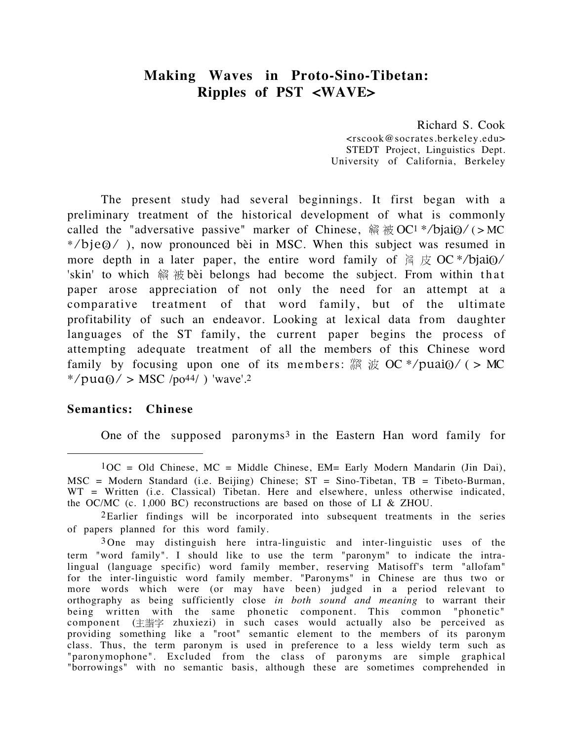# **Making Waves in Proto-Sino-Tibetan: Ripples of PST <WAVE>**

Richard S. Cook <rscook@socrates.berkeley.edu> STEDT Project, Linguistics Dept. University of California, Berkeley

The present study had several beginnings. It first began with a preliminary treatment of the historical development of what is commonly called the "adversative passive" marker of Chinese,  $\Re \pi$  ( $\text{C}$  +/bjai $\text{Q}/$  (>MC \*/bje@/ ), now pronounced bèi in MSC. When this subject was resumed in more depth in a later paper, the entire word family of  $\frac{3}{2} \not\in O\mathbb{C}^* / \text{bjai}$ 'skin' to which 翁 被 bèi belongs had become the subject. From within that paper arose appreciation of not only the need for an attempt at a comparative treatment of that word family, but of the ultimate profitability of such an endeavor. Looking at lexical data from daughter languages of the ST family, the current paper begins the process of attempting adequate treatment of all the members of this Chinese word family by focusing upon one of its members:  $\dddot{\mathbb{R}} \not\in O\text{C}^* / \text{puai}$  (> MC \*/pua $\omega$ / > MSC /po<sup>44</sup>/ ) 'wave'.2

# **Semantics: Chinese**

One of the supposed paronyms3 in the Eastern Han word family for

 $1OC = Old Chinese, MC = Middle Chinese, EM = Early Modern Mandarin (Jin Dai),$  $MSC = Modern Standard$  (i.e. Beijing) Chinese;  $ST = Sino-Tibetan$ ,  $TB = Tibeto-Burman$ , WT = Written (i.e. Classical) Tibetan. Here and elsewhere, unless otherwise indicated, the OC/MC (c. 1,000 BC) reconstructions are based on those of LI & ZHOU.

<sup>2</sup>Earlier findings will be incorporated into subsequent treatments in the series of papers planned for this word family.

<sup>3</sup> One may distinguish here intra-linguistic and inter-linguistic uses of the term "word family". I should like to use the term "paronym" to indicate the intralingual (language specific) word family member, reserving Matisoff's term "allofam" for the inter-linguistic word family member. "Paronyms" in Chinese are thus two or more words which were (or may have been) judged in a period relevant to orthography as being sufficiently close *in both sound and meaning* to warrant their being written with the same phonetic component. This common "phonetic" component (主諧字 zhuxiezi) in such cases would actually also be perceived as providing something like a "root" semantic element to the members of its paronym class. Thus, the term paronym is used in preference to a less wieldy term such as "paronymophone". Excluded from the class of paronyms are simple graphical "borrowings" with no semantic basis, although these are sometimes comprehended in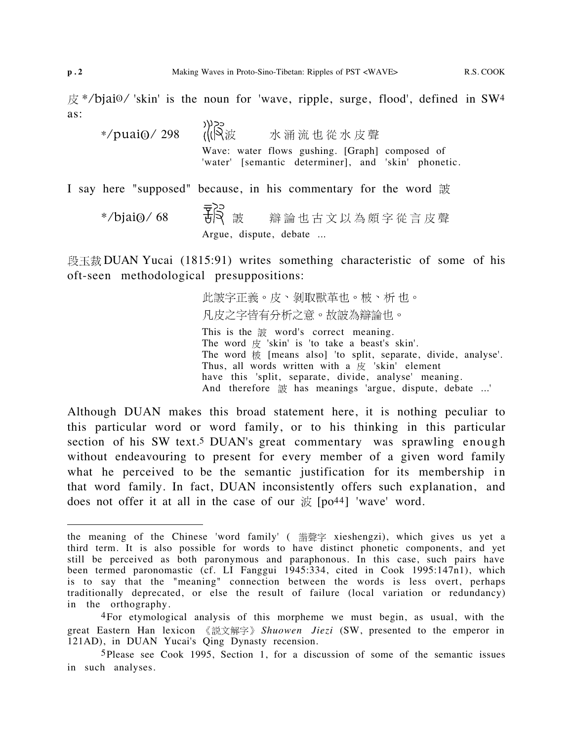$\frac{\pi}{2}$  \*/bjai $\frac{0}{\pi}$  'skin' is the noun for 'wave, ripple, surge, flood', defined in SW4 as:

心感。  $*/$ puai $\omega/$  298 水涌流也從水皮聲 Wave: water flows gushing. [Graph] composed of 'water' [semantic determiner], and 'skin' phonetic.

I say here "supposed" because, in his commentary for the word 詖

 $*/$ bjai $\odot$ /68 <del>了</del>。<br><br> **B**<br>
Argue, dispute, debate ...

段玉裁 DUAN Yucai (1815:91) writes something characteristic of some of his oft-seen methodological presuppositions:

> 此詖字正義。皮、剝取獸革也。柀、析也。 凡皮之字皆有分析之意。故詖為辯論也。

This is the  $\frac{2}{300}$  word's correct meaning. The word  $\#$  'skin' is 'to take a beast's skin'. The word  $\overline{\text{W}}$  [means also] 'to split, separate, divide, analyse'. Thus, all words written with a  $\overline{g}$  'skin' element have this 'split, separate, divide, analyse' meaning. And therefore  $\ddot{\mathcal{R}}$  has meanings 'argue, dispute, debate ...'

Although DUAN makes this broad statement here, it is nothing peculiar to this particular word or word family, or to his thinking in this particular section of his SW text.<sup>5</sup> DUAN's great commentary was sprawling enough without endeavouring to present for every member of a given word family what he perceived to be the semantic justification for its membership in that word family. In fact, DUAN inconsistently offers such explanation, and does not offer it at all in the case of our  $\mathcal{H}$  [po<sup>44]</sup> 'wave' word.

the meaning of the Chinese 'word family' ( 諧聲字 xieshengzi), which gives us yet a third term. It is also possible for words to have distinct phonetic components, and yet still be perceived as both paronymous and paraphonous. In this case, such pairs have been termed paronomastic (cf. LI Fanggui 1945:334, cited in Cook 1995:147n1), which is to say that the "meaning" connection between the words is less overt, perhaps traditionally deprecated, or else the result of failure (local variation or redundancy) in the orthography.

<sup>4</sup>For etymological analysis of this morpheme we must begin, as usual, with the great Eastern Han lexicon 《説文解字》 Shuowen Jiezi (SW, presented to the emperor in 121AD), in DUAN Yucai's Qing Dynasty recension.

<sup>5</sup>Please see Cook 1995, Section 1, for a discussion of some of the semantic issues in such analyses.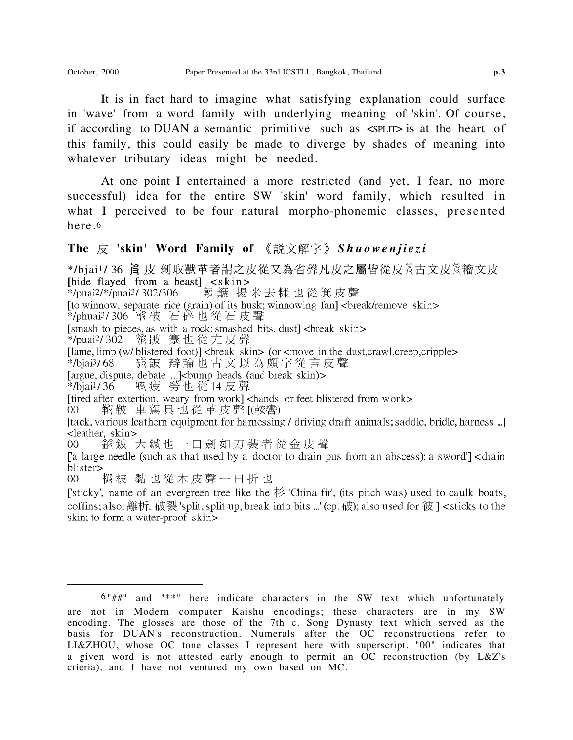It is in fact hard to imagine what satisfying explanation could surface in 'wave' from a word family with underlying meaning of 'skin'. Of course, if according to DUAN a semantic primitive such as <SPLIT> is at the heart of this family, this could easily be made to diverge by shades of meaning into whatever tributary ideas might be needed.

At one point I entertained a more restricted (and yet, I fear, no more successful) idea for the entire SW 'skin' word family, which resulted in what I perceived to be four natural morpho-phonemic classes, presented here.6

## The 皮 'skin' Word Family of 《説文解字》 Shuowenjiezi

\*/bjai<sup>1</sup>/36 闫 皮 剝取獸革者謂之皮從又為省聲凡皮之屬皆從皮為古文皮%籀文皮 [hide flayed from a beast] <skin> \*/puai<sup>2</sup>/\*/puai<sup>3</sup>/302/306 驇簸 揚米去糠也從箕皮聲 [to winnow, separate rice (grain) of its husk; winnowing fan] <br/> <br/>break/remove skin> \*/phuai3/306 飛破 石碎也從石皮聲 [smash to pieces, as with a rock; smashed bits, dust] <br/> <br/>break skin> [lame, limp (w/blistered foot)] <br/>break skin> (or <move in the dust, crawl, creep, cripple> 談 辯論 也 古 文 以 為 頗 字 從 言 皮 聲  $*$ /biai<sup>3</sup>/68 [argue, dispute, debate ...]<br/>cbump heads (and break skin)>  $*$ /bjai<sup>1</sup>/36 膈疲 勞也從14皮聲 [tack, various leathern equipment for harnessing / driving draft animals; saddle, bridle, harness ...] <leather, skin> 鋼鈹 大鍼也一日劍如刀裝者從金皮聲  $00<sup>1</sup>$ [a large needle (such as that used by a doctor to drain pus from an abscess); a sword'] < drain blister> 颛柀 黏也從木皮聲一日折也  $00<sup>°</sup>$ [sticky', name of an evergreen tree like the  $\not\approx$  'China fir', (its pitch was) used to caulk boats, coffins; also, 離析, 破裂 'split, split up, break into bits ...' (cp. 破); also used for 彼  $\vert$  < sticks to the skin; to form a water-proof skin>

 $6"$ ##" and "\*\*" here indicate characters in the SW text which unfortunately are not in Modern computer Kaishu encodings; these characters are in my SW encoding. The glosses are those of the 7th c. Song Dynasty text which served as the basis for DUAN's reconstruction. Numerals after the OC reconstructions refer to LI&ZHOU, whose OC tone classes I represent here with superscript. "00" indicates that a given word is not attested early enough to permit an OC reconstruction (by L&Z's crieria), and I have not ventured my own based on MC.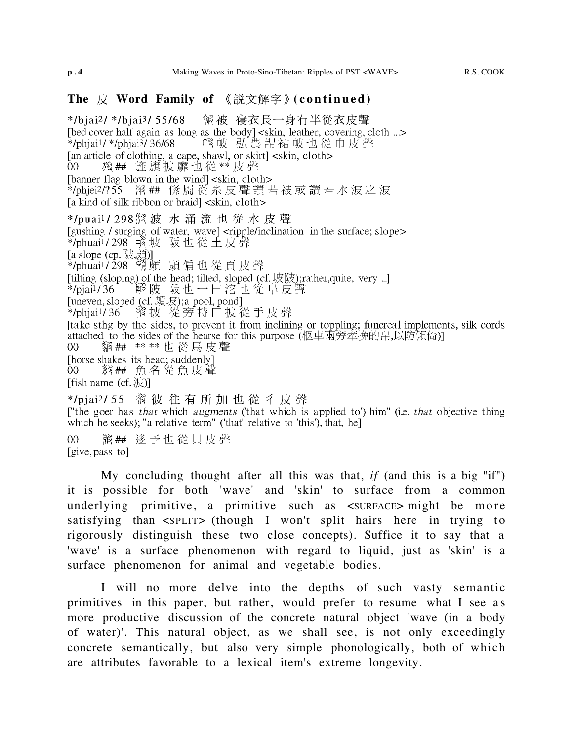\*/biai2/ \*/biai3/ 55/68 �� 被 寑衣長一身有半從衣皮聲 [bed cover half again as long as the body] <skin, leather, covering, cloth ...> 啊帔 弘農謂裙帔也從巾皮聲 \*/phjai<sup>1</sup>/ \*/phjai<sup>3</sup>/ 36/68 [an article of clothing, a cape, shawl, or skirt] <skin, cloth> 粮## 旌旗披靡也從\*\*皮聲  $00<sup>1</sup>$ [banner flag blown in the wind] <skin, cloth> [a kind of silk ribbon or braid] <skin, cloth> \*/puai<sup>1</sup>/298 波 水 涌 流 也 從 水 皮 聲 [gushing / surging of water, wave] <ripple/inclination in the surface; slope><br>\*/phuai<sup>1</sup>/298 境 坡 阪 也 從 土 皮 聲 [a slope (cp. 陂頗)] [tilting (sloping) of the head; tilted, sloped (cf. 坡陂); rather, quite, very ...] 解陂 阪也一日沱也從阜皮聲  $*$ /piai<sup>1</sup>/36 [uneven, sloped (cf.  $H(x)$ ; a pool, pond] [take sthg by the sides, to prevent it from inclining or toppling; funereal implements, silk cords attached to the sides of the hearse for this purpose (柩車兩旁牽挽的帛,以防傾倚)] **貂## \*\*\*\*也從馬皮聲**  $00<sup>°</sup>$ [fish name  $(cf. \n#$ ] ["the goer has that which augments (that which is applied to') him" (i.e. that objective thing which he seeks); "a relative term" ('that' relative to 'this'), that, he] 骼## 迻予也從貝皮聲  $0<sup>0</sup>$ 

[give, pass to]

My concluding thought after all this was that, *if* (and this is a big "if") it is possible for both 'wave' and 'skin' to surface from a common underlying primitive, a primitive such as  $\langle$ SURFACE $\rangle$  might be more satisfying than  $\langle$ SPLIT> (though I won't split hairs here in trying to rigorously distinguish these two close concepts). Suffice it to say that a 'wave' is a surface phenomenon with regard to liquid, just as 'skin' is a surface phenomenon for animal and vegetable bodies.

I will no more delve into the depths of such vasty semantic primitives in this paper, but rather, would prefer to resume what I see as more productive discussion of the concrete natural object 'wave (in a body of water)'. This natural object, as we shall see, is not only exceedingly concrete semantically, but also very simple phonologically, both of which are attributes favorable to a lexical item's extreme longevity.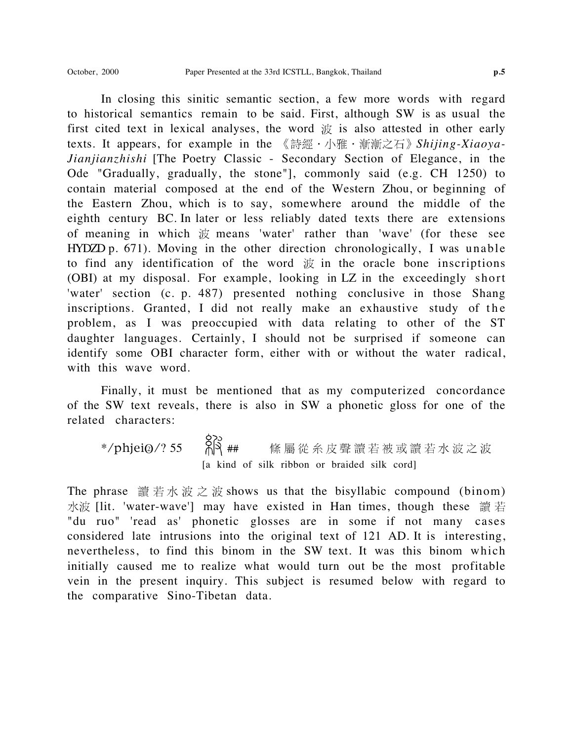In closing this sinitic semantic section, a few more words with regard to historical semantics remain to be said. First, although SW is as usual the first cited text in lexical analyses, the word  $\ddot{\mathcal{R}}$  is also attested in other early texts. It appears, for example in the 《詩經·小雅·漸漸之石》Shijing-Xiaoya-*Jianjianzhishi* [The Poetry Classic - Secondary Section of Elegance, in the Ode "Gradually, gradually, the stone"], commonly said (e.g. CH 1250) to contain material composed at the end of the Western Zhou, or beginning of the Eastern Zhou, which is to say, somewhere around the middle of the eighth century BC. In later or less reliably dated texts there are extensions of meaning in which means 'water' rather than 'wave' (for these see HYDZD p. 671). Moving in the other direction chronologically, I was unable to find any identification of the word  $\ddot{x}$  in the oracle bone inscriptions (OBI) at my disposal. For example, looking in LZ in the exceedingly short 'water' section (c. p. 487) presented nothing conclusive in those Shang inscriptions. Granted, I did not really make an exhaustive study of the problem, as I was preoccupied with data relating to other of the ST daughter languages. Certainly, I should not be surprised if someone can identify some OBI character form, either with or without the water radical, with this wave word.

Finally, it must be mentioned that as my computerized concordance of the SW text reveals, there is also in SW a phonetic gloss for one of the related characters:

\*/phjei@/? 55  $\bigotimes^8\{3\}$ ## 絛屬從糸皮聲讀若被或讀若水波之波 [a kind of silk ribbon or braided silk cord]

The phrase  $\ddot{\mathbf{i}}$  if  $\ddot{\mathbf{j}}$  if  $\ddot{\mathbf{k}}$  if  $\ddot{\mathbf{k}}$  is shows us that the bisyllabic compound (binom) 水波 [lit. 'water-wave'] may have existed in Han times, though these 讀 若 "du ruo" 'read as' phonetic glosses are in some if not many cases considered late intrusions into the original text of 121 AD. It is interesting, nevertheless, to find this binom in the SW text. It was this binom which initially caused me to realize what would turn out be the most profitable vein in the present inquiry. This subject is resumed below with regard to the comparative Sino-Tibetan data.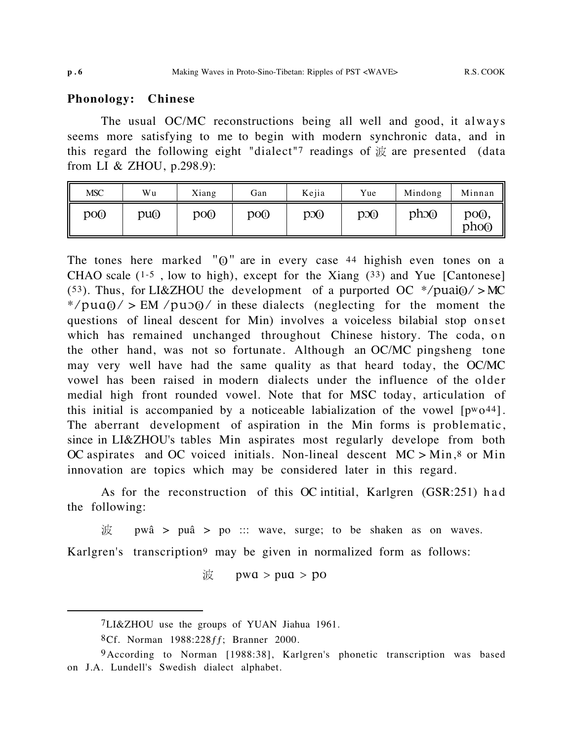# **Phonology: Chinese**

The usual OC/MC reconstructions being all well and good, it always seems more satisfying to me to begin with modern synchronic data, and in this regard the following eight "dialect"? readings of  $\dot{\mathcal{R}}$  are presented (data from LI & ZHOU, p.298.9):

| <b>MSC</b> | Wu  | Xiang | Gan             | Kejia   | Yue | Mindong | Minnan                                |
|------------|-----|-------|-----------------|---------|-----|---------|---------------------------------------|
| poo        | pu@ | po@   | po <sub>0</sub> | $p_{0}$ | p   | pho     | po <sub>0</sub> ,<br>pho <sub>0</sub> |

The tones here marked " $\sigma$ " are in every case  $44$  highish even tones on a CHAO scale (1-5 , low to high), except for the Xiang (33) and Yue [Cantonese] (53). Thus, for LI&ZHOU the development of a purported OC  $*/puai@/>MC$ \*/pua $\omega$  > EM /pu $\omega$  in these dialects (neglecting for the moment the questions of lineal descent for Min) involves a voiceless bilabial stop onset which has remained unchanged throughout Chinese history. The coda, on the other hand, was not so fortunate. Although an OC/MC pingsheng tone may very well have had the same quality as that heard today, the OC/MC vowel has been raised in modern dialects under the influence of the older medial high front rounded vowel. Note that for MSC today, articulation of this initial is accompanied by a noticeable labialization of the vowel  $[pw_044]$ . The aberrant development of aspiration in the Min forms is problematic, since in LI&ZHOU's tables Min aspirates most regularly develope from both OC aspirates and OC voiced initials. Non-lineal descent  $MC > Min$ ,<sup>8</sup> or Min innovation are topics which may be considered later in this regard.

As for the reconstruction of this OC intitial, Karlgren (GSR:251) had the following:

pwä > puä > po ::: wave, surge; to be shaken as on waves. 波 Karlgren's transcription9 may be given in normalized form as follows:

 $\mathcal{R}$  pwa > pua > po

<sup>7</sup>LI&ZHOU use the groups of YUAN Jiahua 1961.

<sup>8</sup>Cf. Norman 1988:228ƒƒ; Branner 2000.

<sup>9</sup>According to Norman [1988:38], Karlgren's phonetic transcription was based on J.A. Lundell's Swedish dialect alphabet.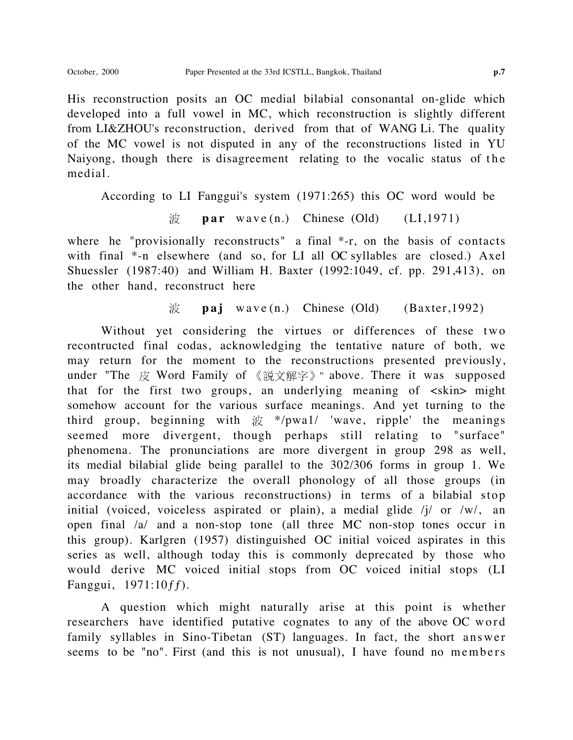His reconstruction posits an OC medial bilabial consonantal on-glide which developed into a full vowel in MC, which reconstruction is slightly different from LI&ZHOU's reconstruction, derived from that of WANG Li. The quality of the MC vowel is not disputed in any of the reconstructions listed in YU Naiyong, though there is disagreement relating to the vocalic status of the medial.

According to LI Fanggui's system (1971:265) this OC word would be

$$
\nexists \mathbf{p} \mathbf{ar} \quad \text{wave} \quad (\mathbf{n}.) \quad \text{Chinese} \quad (\text{Old}) \qquad (\text{LI}, 1971)
$$

where he "provisionally reconstructs" a final \*-r, on the basis of contacts with final  $*$ -n elsewhere (and so, for LI all OC syllables are closed.) Axel Shuessler (1987:40) and William H. Baxter (1992:1049, cf. pp. 291,413), on the other hand, reconstruct here

> 波 **paj** wave (n.) Chinese (Old) (Baxter,1992)

Without yet considering the virtues or differences of these two recontructed final codas, acknowledging the tentative nature of both, we may return for the moment to the reconstructions presented previously, under "The  $\#$  Word Family of 《説文解字》" above. There it was supposed that for the first two groups, an underlying meaning of <skin> might somehow account for the various surface meanings. And yet turning to the third group, beginning with  $\frac{1}{100}$  \*/pwa1/ 'wave, ripple' the meanings seemed more divergent, though perhaps still relating to "surface" phenomena. The pronunciations are more divergent in group 298 as well, its medial bilabial glide being parallel to the 302/306 forms in group 1. We may broadly characterize the overall phonology of all those groups (in accordance with the various reconstructions) in terms of a bilabial stop initial (voiced, voiceless aspirated or plain), a medial glide /j/ or /w/, an open final /a/ and a non-stop tone (all three MC non-stop tones occur in this group). Karlgren (1957) distinguished OC initial voiced aspirates in this series as well, although today this is commonly deprecated by those who would derive MC voiced initial stops from OC voiced initial stops (LI Fanggui, 1971:10ƒƒ).

A question which might naturally arise at this point is whether researchers have identified putative cognates to any of the above OC word family syllables in Sino-Tibetan (ST) languages. In fact, the short answer seems to be "no". First (and this is not unusual), I have found no members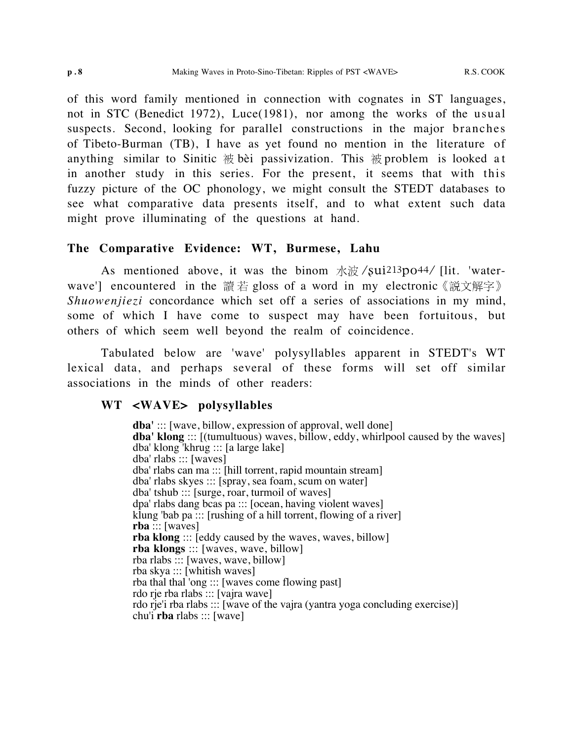of this word family mentioned in connection with cognates in ST languages, not in STC (Benedict 1972), Luce(1981), nor among the works of the usual suspects. Second, looking for parallel constructions in the major branches of Tibeto-Burman (TB), I have as yet found no mention in the literature of anything similar to Sinitic  $\ddot{\text{g}}$  bèi passivization. This  $\ddot{\text{g}}$  problem is looked at in another study in this series. For the present, it seems that with this fuzzy picture of the OC phonology, we might consult the STEDT databases to see what comparative data presents itself, and to what extent such data might prove illuminating of the questions at hand.

# **The Comparative Evidence: WT, Burmese, Lahu**

As mentioned above, it was the binom  $\frac{1}{2}$   $\frac{1}{2}$   $\frac{1}{2}$   $\frac{1}{2}$   $\frac{1}{2}$   $\frac{1}{2}$   $\frac{1}{2}$   $\frac{1}{2}$   $\frac{1}{2}$   $\frac{1}{2}$   $\frac{1}{2}$   $\frac{1}{2}$   $\frac{1}{2}$   $\frac{1}{2}$   $\frac{1}{2}$   $\frac{1}{2}$   $\frac{1}{2}$   $\frac{1}{2}$   $\frac$ wave'] encountered in the 讀若 gloss of a word in my electronic 《説文解字》 *Shuowenjiezi* concordance which set off a series of associations in my mind, some of which I have come to suspect may have been fortuitous, but others of which seem well beyond the realm of coincidence.

Tabulated below are 'wave' polysyllables apparent in STEDT's WT lexical data, and perhaps several of these forms will set off similar associations in the minds of other readers:

# **WT <WAVE> polysyllables**

**dba'** ::: [wave, billow, expression of approval, well done] **dba' klong** ::: [(tumultuous) waves, billow, eddy, whirlpool caused by the waves] dba' klong 'khrug ::: [a large lake] dba' rlabs ::: [waves] dba' rlabs can ma ::: [hill torrent, rapid mountain stream] dba' rlabs skyes ::: [spray, sea foam, scum on water] dba' tshub ::: [surge, roar, turmoil of waves] dpa' rlabs dang bcas pa ::: [ocean, having violent waves] klung 'bab pa  $::$ : [rushing of a hill torrent, flowing of a river] **rba** ::: [waves] **rba klong** ::: [eddy caused by the waves, waves, billow] **rba klongs** ::: [waves, wave, billow] rba rlabs ::: [waves, wave, billow] rba skya ::: [whitish waves] rba thal thal 'ong ::: [waves come flowing past] rdo rje rba rlabs ::: [vajra wave] rdo rje'i rba rlabs ::: [wave of the vajra (yantra yoga concluding exercise)] chu'i **rba** rlabs ::: [wave]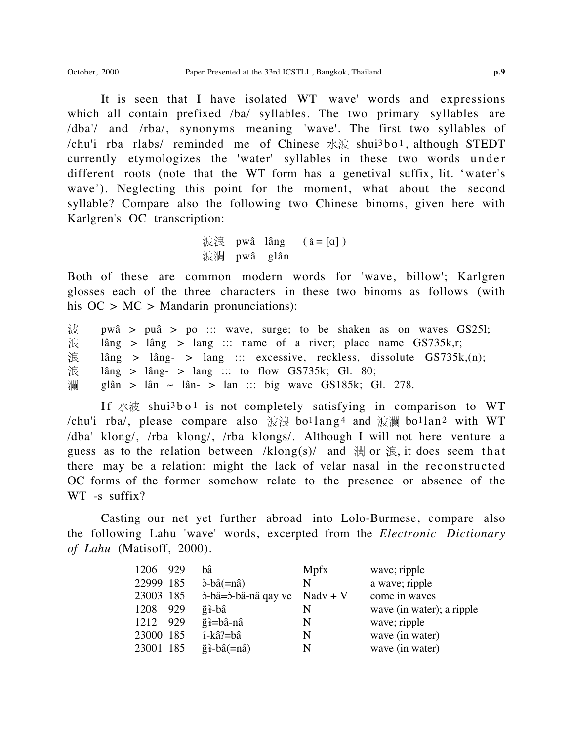It is seen that I have isolated WT 'wave' words and expressions which all contain prefixed /ba/ syllables. The two primary syllables are /dba'/ and /rba/, synonyms meaning 'wave'. The first two syllables of /chu'i rba rlabs/ reminded me of Chinese  $\forall x \notin S$  shui $3$ bo<sup>1</sup>, although STEDT currently etymologizes the 'water' syllables in these two words under different roots (note that the WT form has a genetival suffix, lit. 'water's wave'). Neglecting this point for the moment, what about the second syllable? Compare also the following two Chinese binoms, given here with Karlgren's OC transcription:

> 波浪 pwâ lâng  $(a = [a])$ 波瀾 pwâ glân

Both of these are common modern words for 'wave, billow'; Karlgren glosses each of the three characters in these two binoms as follows (with his  $OC > MC > Mandarin$  pronunciations):

波 pwä > puä > po ::: wave, surge; to be shaken as on waves GS25l; 浪 lâng > lâng > lang ::: name of a river; place name  $GS735k,r;$ 浪 lâng > lâng- > lang ::: excessive, reckless, dissolute  $GS735k(n)$ ; 浪 lâng > lâng- > lang ::: to flow GS735k; Gl. 80; 瀾 glân > lân ~ lân- > lan ::: big wave GS185k; Gl. 278.

If  $\dot{\mathcal{X}}$   $\dot{\mathcal{X}}$  shui<sup>3</sup> b o <sup>1</sup> is not completely satisfying in comparison to WT /chu'i rba/, please compare also  $\ddot{\mathcal{R}} \ddot{\mathcal{R}}$  bo<sup>1</sup>lang<sup>4</sup> and  $\ddot{\mathcal{R}} \ddot{\mathcal{R}}$  bo<sup>1</sup>lan<sup>2</sup> with WT /dba' klong/, /rba klong/, /rba klongs/. Although I will not here venture a guess as to the relation between /klong(s)/ and  $\ddot{m}$  or  $\ddot{\mathcal{R}}$ , it does seem that there may be a relation: might the lack of velar nasal in the reconstructed OC forms of the former somehow relate to the presence or absence of the WT -s suffix?

Casting our net yet further abroad into Lolo-Burmese, compare also the following Lahu 'wave' words, excerpted from the *Electronic Dictionary of Lahu* (Matisoff, 2000).

| 1206      | 929  | bâ                                     | Mpfx       | wave; ripple              |
|-----------|------|----------------------------------------|------------|---------------------------|
| 22999 185 |      | $\delta$ -bâ $(=\hat{n})$              | N          | a wave; ripple            |
| 23003 185 |      | b-bâ=b-bâ-nâ qay ve                    | $Nadv + V$ | come in waves             |
| 1208      | 929  | ğ <del>ì</del> -bâ                     | N          | wave (in water); a ripple |
| 1212      | -929 | ğ <del>i</del> =bâ-nâ                  | N          | wave; ripple              |
| 23000 185 |      | í-kâ?=bâ                               | N          | wave (in water)           |
| 23001 185 |      | $\ddot{g}$ $\dot{f}$ -bâ $(=n\hat{a})$ | N          | wave (in water)           |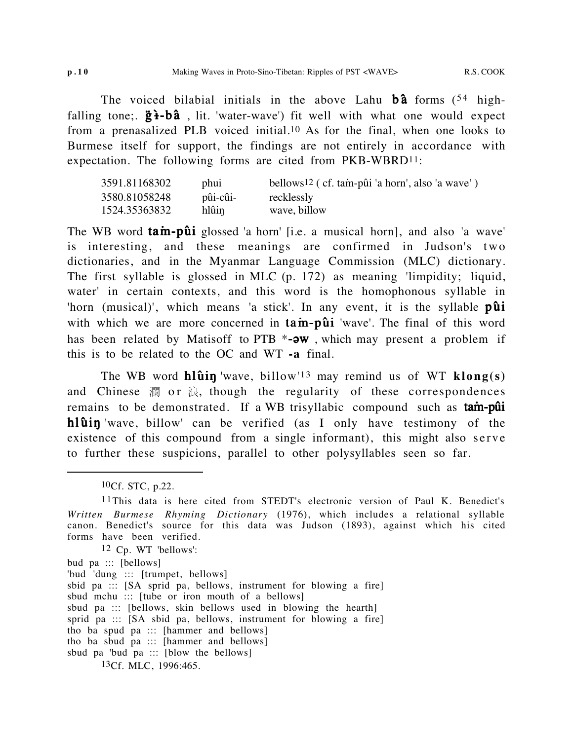The voiced bilabial initials in the above Lahu  $\mathbf{b}\hat{\mathbf{a}}$  forms (54 highfalling tone;.  $\ddot{g}$ **i-bâ**, lit. 'water-wave') fit well with what one would expect from a prenasalized PLB voiced initial.10 As for the final, when one looks to Burmese itself for support, the findings are not entirely in accordance with expectation. The following forms are cited from PKB-WBRD11:

| 3591.81168302 | phui     | bellows <sup>12</sup> (cf. tam-pûi 'a horn', also 'a wave') |
|---------------|----------|-------------------------------------------------------------|
| 3580.81058248 | pûi-cûi- | recklessly                                                  |
| 1524.35363832 | hlûin    | wave, billow                                                |

The WB word  $\tan$ -pûi glossed 'a horn' [i.e. a musical horn], and also 'a wave' is interesting, and these meanings are confirmed in Judson's two dictionaries, and in the Myanmar Language Commission (MLC) dictionary. The first syllable is glossed in MLC (p. 172) as meaning 'limpidity; liquid, water' in certain contexts, and this word is the homophonous syllable in 'horn (musical)', which means 'a stick'. In any event, it is the syllable  $p\hat{u}i$ with which we are more concerned in  $\tan-\pi\hat{u}i$  'wave'. The final of this word has been related by Matisoff to PTB  $*$ - $\partial w$ , which may present a problem if this is to be related to the OC and WT **-a** final.

The WB word  $h\hat{\mathbf{u}}$  in 'wave, billow'<sup>13</sup> may remind us of WT  $\mathbf{klong}(s)$ and Chinese  $\ddot{\mathbb{R}}$  or  $\ddot{\mathbb{R}}$ , though the regularity of these correspondences remains to be demonstrated. If a WB trisyllabic compound such as **tam-put hlûin** 'wave, billow' can be verified (as I only have testimony of the existence of this compound from a single informant), this might also serve to further these suspicions, parallel to other polysyllables seen so far.

12 Cp. WT 'bellows':

'bud 'dung ::: [trumpet, bellows]

- sbid pa ::: [SA sprid pa, bellows, instrument for blowing a fire]
- sbud mchu ::: [tube or iron mouth of a bellows]
- sbud pa ::: [bellows, skin bellows used in blowing the hearth]
- sprid pa ::: [SA sbid pa, bellows, instrument for blowing a fire]
- tho ba spud pa ::: [hammer and bellows]

sbud pa 'bud pa  $::$  [blow the bellows]

<sup>10</sup>Cf. STC, p.22.

<sup>11</sup>This data is here cited from STEDT's electronic version of Paul K. Benedict's *Written Burmese Rhyming Dictionary* (1976), which includes a relational syllable canon. Benedict's source for this data was Judson (1893), against which his cited forms have been verified.

bud pa ::: [bellows]

tho ba sbud pa ::: [hammer and bellows]

<sup>13</sup>Cf. MLC, 1996:465.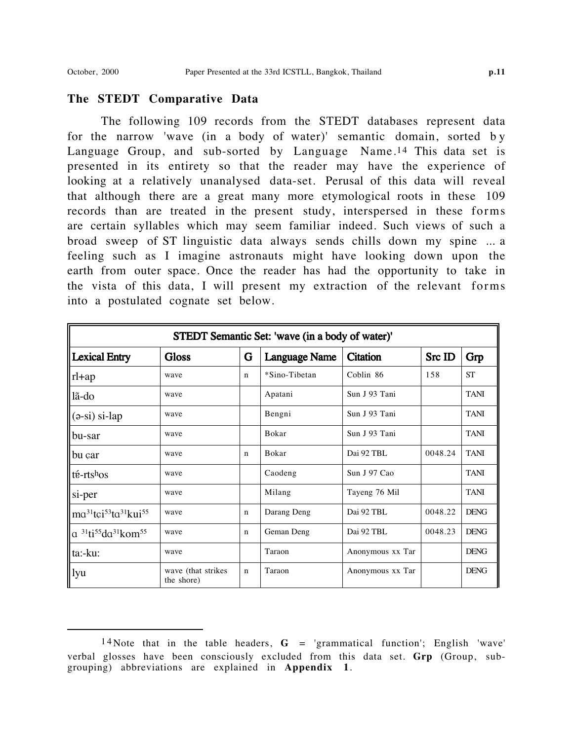# **The STEDT Comparative Data**

The following 109 records from the STEDT databases represent data for the narrow 'wave (in a body of water)' semantic domain, sorted b y Language Group, and sub-sorted by Language Name.14 This data set is presented in its entirety so that the reader may have the experience of looking at a relatively unanalysed data-set. Perusal of this data will reveal that although there are a great many more etymological roots in these 109 records than are treated in the present study, interspersed in these forms are certain syllables which may seem familiar indeed. Such views of such a broad sweep of ST linguistic data always sends chills down my spine ... a feeling such as I imagine astronauts might have looking down upon the earth from outer space. Once the reader has had the opportunity to take in the vista of this data, I will present my extraction of the relevant forms into a postulated cognate set below.

|                                                                               | STEDT Semantic Set: 'wave (in a body of water)' |             |                      |                  |         |             |  |  |  |  |  |  |
|-------------------------------------------------------------------------------|-------------------------------------------------|-------------|----------------------|------------------|---------|-------------|--|--|--|--|--|--|
| Lexical Entry                                                                 | <b>Gloss</b>                                    | G           | <b>Language Name</b> | <b>Citation</b>  | Src ID  | Grp         |  |  |  |  |  |  |
| $\ $ rl+ap                                                                    | wave                                            | $\mathbf n$ | *Sino-Tibetan        | Coblin 86        | 158     | <b>ST</b>   |  |  |  |  |  |  |
| lã-do                                                                         | wave                                            |             | Apatani              | Sun J 93 Tani    |         | <b>TANI</b> |  |  |  |  |  |  |
| $\ $ (ə-si) si-lap                                                            | wave                                            |             | Bengni               | Sun J 93 Tani    |         | <b>TANI</b> |  |  |  |  |  |  |
| $\ $ bu-sar                                                                   | wave                                            |             | Bokar                | Sun J 93 Tani    |         | <b>TANI</b> |  |  |  |  |  |  |
| $\ $ bu çar                                                                   | wave                                            | $\mathbf n$ | Bokar                | Dai 92 TBL       | 0048.24 | <b>TANI</b> |  |  |  |  |  |  |
| $\ $ té-rtshos                                                                | wave                                            |             | Caodeng              | Sun J 97 Cao     |         | <b>TANI</b> |  |  |  |  |  |  |
| $\left  \right $ si-per                                                       | wave                                            |             | Milang               | Tayeng 76 Mil    |         | <b>TANI</b> |  |  |  |  |  |  |
| $\vert$ ma <sup>31</sup> tçi <sup>53</sup> ta <sup>31</sup> kui <sup>55</sup> | wave                                            | n           | Darang Deng          | Dai 92 TBL       | 0048.22 | <b>DENG</b> |  |  |  |  |  |  |
| $\ a\ ^{31}$ ti <sup>55</sup> da <sup>31</sup> kom <sup>55</sup>              | wave                                            | n           | Geman Deng           | Dai 92 TBL       | 0048.23 | <b>DENG</b> |  |  |  |  |  |  |
| ta:-ku:                                                                       | wave                                            |             | Taraon               | Anonymous xx Tar |         | <b>DENG</b> |  |  |  |  |  |  |
| $\parallel$ lyu                                                               | wave (that strikes)<br>the shore)               | $\mathbf n$ | Taraon               | Anonymous xx Tar |         | <b>DENG</b> |  |  |  |  |  |  |

<sup>14</sup> Note that in the table headers,  $G =$  'grammatical function'; English 'wave' verbal glosses have been consciously excluded from this data set. **Grp** (Group, subgrouping) abbreviations are explained in **Appendix 1**.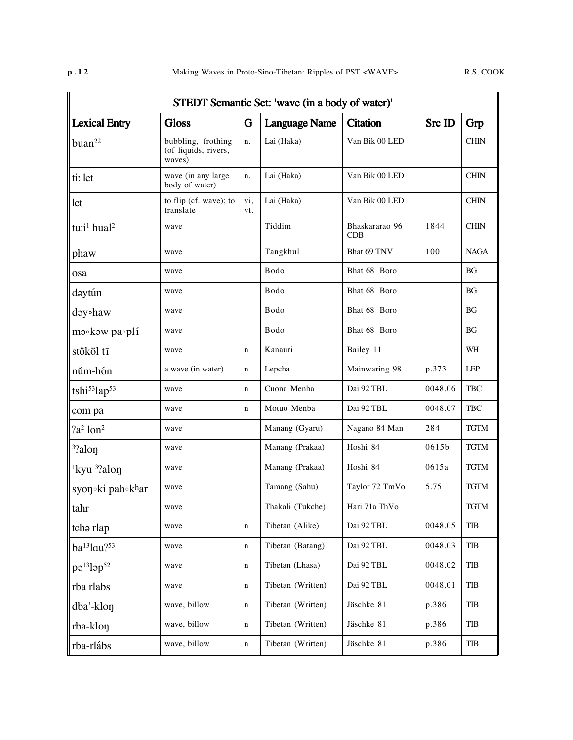|                                        | STEDT Semantic Set: 'wave (in a body of water)'      |             |                           |                       |         |             |  |  |  |  |  |
|----------------------------------------|------------------------------------------------------|-------------|---------------------------|-----------------------|---------|-------------|--|--|--|--|--|
| <b>Lexical Entry</b>                   | <b>Gloss</b>                                         | G           | <b>Language Name</b>      | <b>Citation</b>       | Src ID  | Grp         |  |  |  |  |  |
| buan <sup>22</sup>                     | bubbling, frothing<br>(of liquids, rivers,<br>waves) | n.          | Lai (Haka)                | Van Bik 00 LED        |         | <b>CHIN</b> |  |  |  |  |  |
| ti: let                                | wave (in any large<br>body of water)                 | n.          | Lai (Haka)                | Van Bik 00 LED        |         | <b>CHIN</b> |  |  |  |  |  |
| let                                    | to flip (cf. wave); to<br>translate                  | vi,<br>vt.  | Lai (Haka)                | Van Bik 00 LED        |         | <b>CHIN</b> |  |  |  |  |  |
| tu:i <sup>1</sup> hual <sup>2</sup>    | wave                                                 |             | Tiddim                    | Bhaskararao 96<br>CDB | 1844    | <b>CHIN</b> |  |  |  |  |  |
| phaw                                   | wave                                                 |             | Tangkhul                  | Bhat 69 TNV           | 100     | <b>NAGA</b> |  |  |  |  |  |
| osa                                    | wave                                                 |             | Bodo                      | Bhat 68 Boro          |         | BG          |  |  |  |  |  |
| dəytún                                 | wave                                                 |             | Bodo                      | Bhat 68 Boro          |         | <b>BG</b>   |  |  |  |  |  |
| dəy∘haw                                | wave                                                 |             | Bodo                      | Bhat 68 Boro          |         | ΒG          |  |  |  |  |  |
| $m$ $\circ$ k $\circ$ w pa $\circ$ plí | wave                                                 |             | Bodo                      | Bhat 68 Boro          |         | BG          |  |  |  |  |  |
| stököl tī                              | wave                                                 | $\mathbf n$ | Kanauri                   | Bailey 11             |         | WH          |  |  |  |  |  |
| nŭm-hón                                | a wave (in water)                                    | n           | Lepcha                    | Mainwaring 98         | p.373   | <b>LEP</b>  |  |  |  |  |  |
| tshi <sup>53</sup> lap <sup>53</sup>   | wave                                                 | $\mathbf n$ | Cuona Menba<br>Dai 92 TBL |                       | 0048.06 | TBC         |  |  |  |  |  |
| com pa                                 | wave                                                 | n           | Motuo Menba               | Dai 92 TBL            | 0048.07 | <b>TBC</b>  |  |  |  |  |  |
| $2a^2$ lon <sup>2</sup>                | wave                                                 |             | Manang (Gyaru)            | Nagano 84 Man         | 284     | <b>TGTM</b> |  |  |  |  |  |
| <sup>3</sup> ?alon                     | wave                                                 |             | Manang (Prakaa)           | Hoshi 84              | 0615b   | <b>TGTM</b> |  |  |  |  |  |
| <sup>1</sup> kyu $\frac{3}{2}$ alon    | wave                                                 |             | Manang (Prakaa)           | Hoshi 84              | 0615a   | TGTM        |  |  |  |  |  |
| syon ki pah khar                       | wave                                                 |             | Tamang (Sahu)             | Taylor 72 TmVo        | 5.75    | <b>TGTM</b> |  |  |  |  |  |
| ll tahr                                | wave                                                 |             | Thakali (Tukche)          | Hari 71a ThVo         |         | TGTM        |  |  |  |  |  |
| tch <sub>a</sub> rlap                  | wave                                                 | n           | Tibetan (Alike)           | Dai 92 TBL            | 0048.05 | <b>TIB</b>  |  |  |  |  |  |
| $ba^{13}lau^{253}$                     | wave                                                 | $\mathbf n$ | Tibetan (Batang)          | Dai 92 TBL            | 0048.03 | TIB         |  |  |  |  |  |
| $\ p3^{13} $ ap <sup>52</sup>          | wave                                                 | n           | Tibetan (Lhasa)           | Dai 92 TBL            | 0048.02 | TIB         |  |  |  |  |  |
| rba rlabs                              | wave                                                 | n           | Tibetan (Written)         | Dai 92 TBL            | 0048.01 | <b>TIB</b>  |  |  |  |  |  |
| dba'-klon                              | wave, billow                                         | n           | Tibetan (Written)         | Jäschke 81            | p.386   | TIB         |  |  |  |  |  |
| rba-klon                               | wave, billow                                         | n           | Tibetan (Written)         | Jäschke 81            | p.386   | TIB         |  |  |  |  |  |
| rba-rlábs                              | wave, billow                                         | n           | Tibetan (Written)         | Jäschke 81            | p.386   | TIB         |  |  |  |  |  |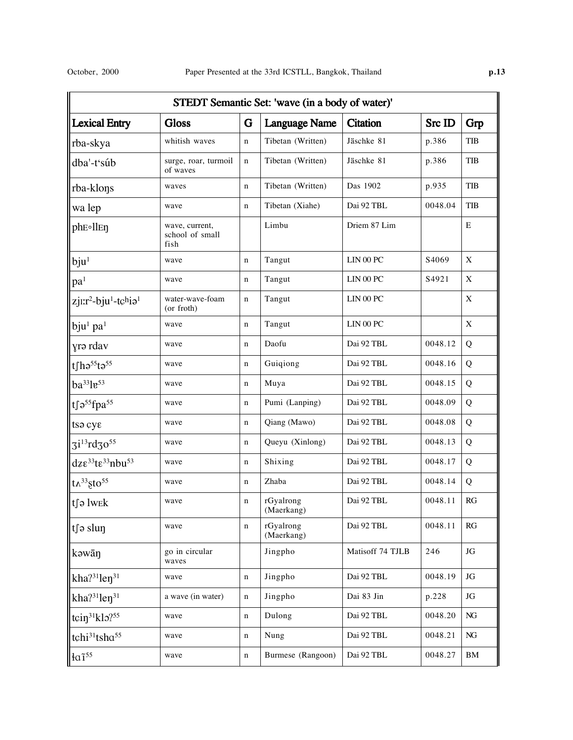|                                                          | STEDT Semantic Set: 'wave (in a body of water)' |   |                         |                  |                   |          |  |  |  |  |  |  |
|----------------------------------------------------------|-------------------------------------------------|---|-------------------------|------------------|-------------------|----------|--|--|--|--|--|--|
| <b>Lexical Entry</b>                                     | <b>Gloss</b>                                    | G | <b>Language Name</b>    | <b>Citation</b>  | Src ID            | Grp      |  |  |  |  |  |  |
| rba-skya                                                 | whitish waves                                   | n | Tibetan (Written)       | Jäschke 81       | p.386             | TIB      |  |  |  |  |  |  |
| dba'-t'súb                                               | surge, roar, turmoil<br>of waves                | n | Tibetan (Written)       | Jäschke 81       | p.386             | TIB      |  |  |  |  |  |  |
| rba-klons                                                | waves                                           | n | Tibetan (Written)       | Das 1902         | p.935             | TIB      |  |  |  |  |  |  |
| wa lep                                                   | wave                                            | n | Tibetan (Xiahe)         | Dai 92 TBL       | 0048.04           | TIB      |  |  |  |  |  |  |
| ph <sub>E</sub> oll <sub>En</sub>                        | wave, current,<br>school of small<br>fish       |   | Limbu                   | Driem 87 Lim     |                   | E        |  |  |  |  |  |  |
| $b$ ju <sup>1</sup>                                      | wave                                            | n | Tangut                  | LIN 00 PC        | S <sub>4069</sub> | X        |  |  |  |  |  |  |
| pa <sup>1</sup>                                          | wave                                            | n | Tangut                  | LIN 00 PC        | S4921             | X        |  |  |  |  |  |  |
| zjı:r <sup>2</sup> -bju <sup>1</sup> -tchia <sup>1</sup> | water-wave-foam<br>(or froth)                   | n | Tangut                  | LIN 00 PC        |                   | X        |  |  |  |  |  |  |
| $bin1$ pa <sup>1</sup>                                   | wave                                            | n | Tangut                  | LIN 00 PC        |                   | X        |  |  |  |  |  |  |
| yrə rdav                                                 | wave                                            | n | Daofu                   | Dai 92 TBL       | 0048.12           | Q        |  |  |  |  |  |  |
| tfh $e^{55}$ t $e^{55}$                                  | wave                                            | n | Dai 92 TBL<br>Guiqiong  |                  | 0048.16           | Q        |  |  |  |  |  |  |
| ba <sup>33</sup> le <sup>53</sup>                        | wave                                            | n | Muya                    | Dai 92 TBL       | 0048.15           | Q        |  |  |  |  |  |  |
| tfa <sup>55</sup> fpa <sup>55</sup>                      | wave                                            | n | Pumi (Lanping)          | Dai 92 TBL       | 0048.09           | Q        |  |  |  |  |  |  |
| tsa cye                                                  | wave                                            | n | Qiang (Mawo)            | Dai 92 TBL       | 0048.08           | Q        |  |  |  |  |  |  |
| $3i^{13}rd30^{55}$                                       | wave                                            | n | Queyu (Xinlong)         | Dai 92 TBL       | 0048.13           | Q        |  |  |  |  |  |  |
| dze <sup>33</sup> te <sup>33</sup> nbu <sup>53</sup>     | wave                                            | n | Shixing                 | Dai 92 TBL       | 0048.17           | Q        |  |  |  |  |  |  |
| $tx^{33}$ gto <sup>55</sup>                              | wave                                            | n | Zhaba                   | Dai 92 TBL       | 0048.14           | Q        |  |  |  |  |  |  |
| ∥t∫ə lwek                                                | wave                                            | n | rGyalrong<br>(Maerkang) | Dai 92 TBL       | 0048.11           | RG       |  |  |  |  |  |  |
| ts slun                                                  | wave                                            | n | rGyalrong<br>(Maerkang) | Dai 92 TBL       | 0048.11           | RG       |  |  |  |  |  |  |
| kəwān                                                    | go in circular<br>waves                         |   | Jingpho                 | Matisoff 74 TJLB | 246               | $\rm JG$ |  |  |  |  |  |  |
| kha $3^{31}$ len $3^{1}$                                 | wave                                            | n | Jingpho                 | Dai 92 TBL       | 0048.19           | JG       |  |  |  |  |  |  |
| kha $3^{31}$ len $3^{1}$                                 | a wave (in water)                               | n | Jingpho                 | Dai 83 Jin       | p.228             | JG       |  |  |  |  |  |  |
| tcin <sup>31</sup> klo <sup>755</sup>                    | wave                                            | n | Dulong                  | Dai 92 TBL       | 0048.20           | NG       |  |  |  |  |  |  |
| tchi <sup>31</sup> tsha <sup>55</sup>                    | wave                                            | n | Nung                    | Dai 92 TBL       | 0048.21           | NG       |  |  |  |  |  |  |
| $4a$ <sup>55</sup>                                       | wave                                            | n | Burmese (Rangoon)       | Dai 92 TBL       | 0048.27           | BM       |  |  |  |  |  |  |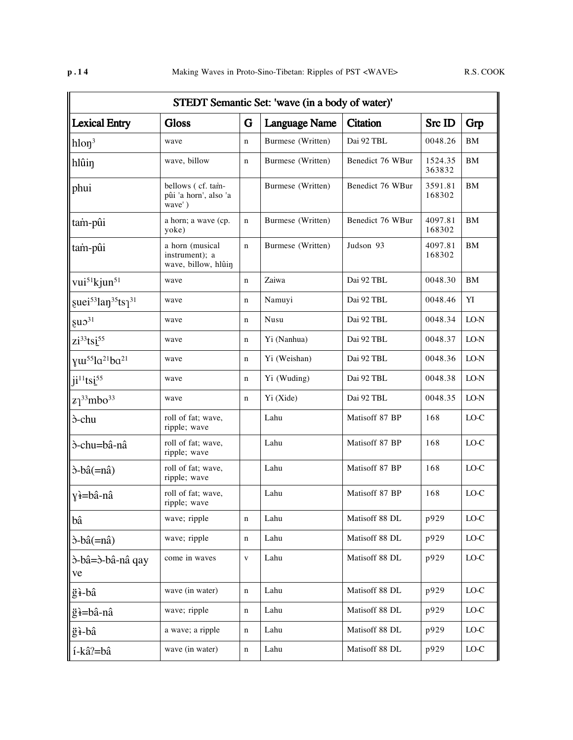|                                                       | STEDT Semantic Set: 'wave (in a body of water)'          |              |                      |                  |                         |               |  |  |  |  |  |  |
|-------------------------------------------------------|----------------------------------------------------------|--------------|----------------------|------------------|-------------------------|---------------|--|--|--|--|--|--|
| <b>Lexical Entry</b>                                  | <b>Gloss</b>                                             | G            | <b>Language Name</b> | <b>Citation</b>  | Src ID                  | Grp           |  |  |  |  |  |  |
| $hlon^3$                                              | wave                                                     | n            | Burmese (Written)    | Dai 92 TBL       | 0048.26                 | BM            |  |  |  |  |  |  |
| hlûin                                                 | wave, billow                                             | n            | Burmese (Written)    | Benedict 76 WBur | 1524.35<br>363832       | BM            |  |  |  |  |  |  |
| phui                                                  | bellows (cf. tam-<br>pûi 'a horn', also 'a<br>wave')     |              | Burmese (Written)    | Benedict 76 WBur | 3591.81<br>168302       | BM            |  |  |  |  |  |  |
| tam-pûi                                               | a horn; a wave (cp.<br>yoke)                             | n            | Burmese (Written)    | Benedict 76 WBur | 4097.81<br>168302       | <b>BM</b>     |  |  |  |  |  |  |
| tam-pûi                                               | a horn (musical<br>instrument); a<br>wave, billow, hlûin | n            | Burmese (Written)    | Judson 93        | 4097.81<br>BM<br>168302 |               |  |  |  |  |  |  |
| vui <sup>51</sup> kjun <sup>51</sup>                  | wave                                                     | $\mathbf n$  | Zaiwa                | Dai 92 TBL       | 0048.30                 | <b>BM</b>     |  |  |  |  |  |  |
| guei <sup>53</sup> lan <sup>35</sup> ts <sup>31</sup> | wave                                                     | n            | Namuyi               | Dai 92 TBL       | 0048.46                 | YI            |  |  |  |  |  |  |
| $\epsilon$ u $\sigma$ <sup>31</sup>                   | wave                                                     | n            | Nusu                 | Dai 92 TBL       | 0048.34                 | LO-N          |  |  |  |  |  |  |
| $zi^{33}$ tsi $55$                                    | wave                                                     | n            | Yi (Nanhua)          | Dai 92 TBL       | 0048.37                 | LO-N          |  |  |  |  |  |  |
| $\gamma u^{55}la^{21}ba^{21}$                         | wave                                                     | n            | Yi (Weishan)         | Dai 92 TBL       | 0048.36                 | LO-N          |  |  |  |  |  |  |
| $j$ <sup>11</sup> ts <sup>55</sup>                    | wave                                                     | n            | Yi (Wuding)          | Dai 92 TBL       | 0048.38                 | LO-N          |  |  |  |  |  |  |
| $\frac{z}{3}$ <sup>33</sup> mbo <sup>33</sup>         | wave                                                     | n            | Yi (Xide)            | Dai 92 TBL       | 0048.35                 | LO-N          |  |  |  |  |  |  |
| <sub>5</sub> -chu                                     | roll of fat; wave,<br>ripple; wave                       |              | Lahu                 | Matisoff 87 BP   | 168                     | $_{\rm LO-C}$ |  |  |  |  |  |  |
| ò-chu=bâ-nâ                                           | roll of fat; wave,<br>ripple; wave                       |              | Lahu                 | Matisoff 87 BP   | 168                     | LO-C          |  |  |  |  |  |  |
| $\delta$ -bâ $(=\hat{\text{na}})$                     | roll of fat; wave,<br>ripple; wave                       |              | Lahu                 | Matisoff 87 BP   | 168                     | $LO-C$        |  |  |  |  |  |  |
| yì=bâ-nâ                                              | roll of fat; wave,<br>ripple; wave                       |              | Lahu                 | Matisoff 87 BP   | 168                     | LO-C          |  |  |  |  |  |  |
| bâ                                                    | wave; ripple                                             | $\mathbf n$  | Lahu                 | Matisoff 88 DL   | p929                    | $_{\rm LO-C}$ |  |  |  |  |  |  |
| $\delta$ -bâ $(=\n $ nâ)                              | wave; ripple                                             | $\mathbf n$  | Lahu                 | Matisoff 88 DL   | p929                    | $_{\rm LO-C}$ |  |  |  |  |  |  |
| ò-bâ=ò-bâ-nâ qay<br>ve                                | come in waves                                            | $\mathbf{V}$ | Lahu                 | Matisoff 88 DL   | p929                    | $_{\rm LO-C}$ |  |  |  |  |  |  |
| ğ <del>ì</del> -bâ                                    | wave (in water)                                          | n            | Lahu                 | Matisoff 88 DL   | p929                    | $_{\rm LO-C}$ |  |  |  |  |  |  |
| ğì=bâ-nâ                                              | wave; ripple                                             | n            | Lahu                 | Matisoff 88 DL   | p929                    | $_{\rm LO-C}$ |  |  |  |  |  |  |
| ğ <del>ì</del> -bâ                                    | a wave; a ripple                                         | n            | Lahu                 | Matisoff 88 DL   | p929                    | $_{\rm LO-C}$ |  |  |  |  |  |  |
| í-kâ?=bâ                                              | wave (in water)                                          | n            | Lahu                 | Matisoff 88 DL   | p929                    | $_{\rm LO-C}$ |  |  |  |  |  |  |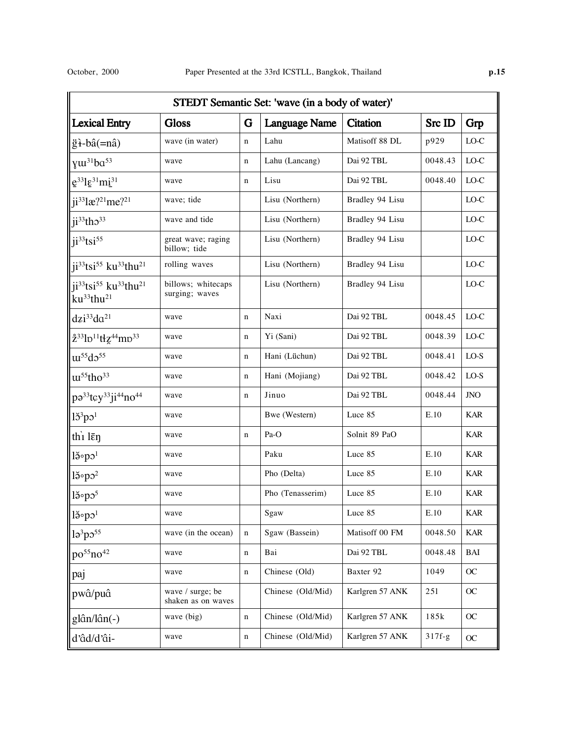|                                                                                                             | STEDT Semantic Set: 'wave (in a body of water)' |             |                      |                 |          |            |  |  |  |  |  |  |
|-------------------------------------------------------------------------------------------------------------|-------------------------------------------------|-------------|----------------------|-----------------|----------|------------|--|--|--|--|--|--|
| <b>Lexical Entry</b>                                                                                        | <b>Gloss</b>                                    | G           | <b>Language Name</b> | <b>Citation</b> | Src ID   | Grp        |  |  |  |  |  |  |
| $\ddot{g}$ $\ddot{f}$ -bâ $(=n\hat{a})$                                                                     | wave (in water)                                 | $\mathbf n$ | Lahu                 | Matisoff 88 DL  | p929     | $LO-C$     |  |  |  |  |  |  |
| yw <sup>31</sup> ba <sup>53</sup>                                                                           | wave                                            | n           | Lahu (Lancang)       | Dai 92 TBL      | 0048.43  | $LO-C$     |  |  |  |  |  |  |
| $e^{33}$ l $e^{31}$ mi $^{31}$                                                                              | wave                                            | n           | Lisu                 | Dai 92 TBL      | 0048.40  | $LO-C$     |  |  |  |  |  |  |
| ji <sup>33</sup> læ? <sup>21</sup> me? <sup>21</sup>                                                        | wave; tide                                      |             | Lisu (Northern)      | Bradley 94 Lisu |          | $LO-C$     |  |  |  |  |  |  |
| $j$ i <sup>33</sup> tho <sup>33</sup>                                                                       | wave and tide                                   |             | Lisu (Northern)      | Bradley 94 Lisu |          | $LO-C$     |  |  |  |  |  |  |
| $ j^{33}tsi^{55}$                                                                                           | great wave; raging<br>billow; tide              |             | Lisu (Northern)      | Bradley 94 Lisu |          | LO-C       |  |  |  |  |  |  |
| ji <sup>33</sup> tsi <sup>55</sup> ku <sup>33</sup> thu <sup>21</sup>                                       | rolling waves                                   |             | Lisu (Northern)      | Bradley 94 Lisu |          | LO-C       |  |  |  |  |  |  |
| ji <sup>33</sup> tsi <sup>55</sup> ku <sup>33</sup> thu <sup>21</sup><br>ku <sup>33</sup> thu <sup>21</sup> | billows; whitecaps<br>surging; waves            |             | Lisu (Northern)      | Bradley 94 Lisu |          | LO-C       |  |  |  |  |  |  |
| $dzi^{33}da^{21}$                                                                                           | wave                                            | $\mathbf n$ | Naxi                 | Dai 92 TBL      | 0048.45  | $LO-C$     |  |  |  |  |  |  |
| 233lp <sup>11</sup> tłz <sup>44</sup> mp <sup>33</sup>                                                      | wave                                            | $\mathbf n$ | Yi (Sani)            | Dai 92 TBL      | 0048.39  | LO-C       |  |  |  |  |  |  |
| $\text{m}^{55}\text{d}^{55}$                                                                                | wave                                            | n           | Hani (Lüchun)        | Dai 92 TBL      | 0048.41  | $LO-S$     |  |  |  |  |  |  |
| $\text{m}^{55}$ tho <sup>33</sup>                                                                           | wave                                            | $\mathbf n$ | Hani (Mojiang)       | Dai 92 TBL      | 0048.42  | LO-S       |  |  |  |  |  |  |
| pa <sup>33</sup> tcy <sup>33</sup> ji <sup>44</sup> no <sup>44</sup>                                        | wave                                            | $\mathbf n$ | Jinuo                | Dai 92 TBL      | 0048.44  | JNO        |  |  |  |  |  |  |
| $15^3$ po <sup>1</sup>                                                                                      | wave                                            |             | Bwe (Western)        | Luce 85         | E.10     | <b>KAR</b> |  |  |  |  |  |  |
| thi $l\bar{\epsilon}$                                                                                       | wave                                            | $\mathbf n$ | Pa-O                 | Solnit 89 PaO   |          | <b>KAR</b> |  |  |  |  |  |  |
| $l\breve{\sigma}$ <sup>o</sup> po <sup>1</sup>                                                              | wave                                            |             | Paku                 | Luce 85         | E.10     | <b>KAR</b> |  |  |  |  |  |  |
| $l\breve{\sigma}$ <sup>2</sup>                                                                              | wave                                            |             | Pho (Delta)          | Luce 85         | E.10     | <b>KAR</b> |  |  |  |  |  |  |
| $l\breve{\sigma}$ <sup>5</sup>                                                                              | wave                                            |             | Pho (Tenasserim)     | Luce 85         | E.10     | <b>KAR</b> |  |  |  |  |  |  |
| $\mathsf{R}^3$                                                                                              | wave                                            |             | Sgaw                 | Luce 85         | E.10     | <b>KAR</b> |  |  |  |  |  |  |
| 1 <sup>3</sup> p <sup>55</sup>                                                                              | wave (in the ocean)                             | $\mathbf n$ | Sgaw (Bassein)       | Matisoff 00 FM  | 0048.50  | <b>KAR</b> |  |  |  |  |  |  |
| $po^{55}no^{42}$                                                                                            | wave                                            | n           | Bai                  | Dai 92 TBL      | 0048.48  | BAI        |  |  |  |  |  |  |
| paj                                                                                                         | wave                                            | n           | Chinese (Old)        | Baxter 92       | 1049     | OC         |  |  |  |  |  |  |
| pwâ/puâ                                                                                                     | wave / surge; be<br>shaken as on waves          |             | Chinese (Old/Mid)    | Karlgren 57 ANK | 251      | OC         |  |  |  |  |  |  |
| glân/lân(-)                                                                                                 | wave (big)                                      | n           | Chinese (Old/Mid)    | Karlgren 57 ANK | 185k     | OC         |  |  |  |  |  |  |
| d'âd/d'âi-                                                                                                  | wave                                            | n           | Chinese (Old/Mid)    | Karlgren 57 ANK | $317f-g$ | OC         |  |  |  |  |  |  |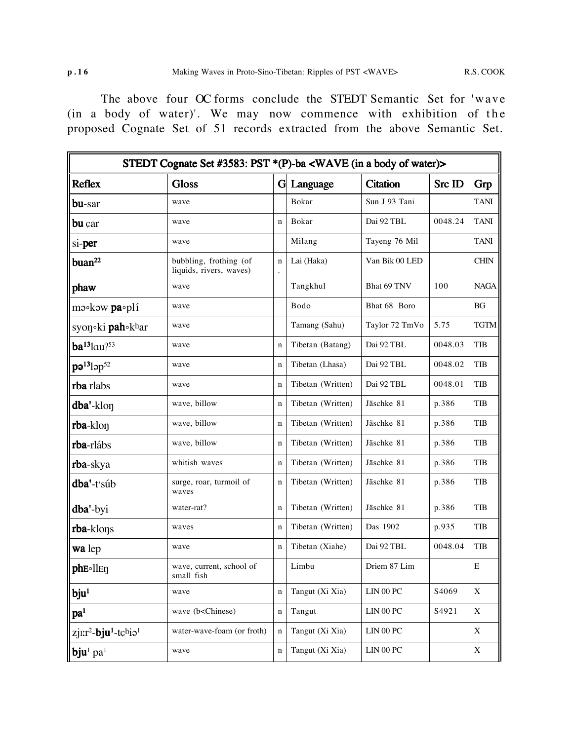The above four OC forms conclude the STEDT Semantic Set for 'wave (in a body of water)'. We may now commence with exhibition of the proposed Cognate Set of 51 records extracted from the above Semantic Set.

|                                                          | STEDT Cognate Set #3583: PST *(P)-ba <wave (in="" a="" body="" of="" water)=""></wave>                                                                                                                                                |             |                   |                           |         |             |
|----------------------------------------------------------|---------------------------------------------------------------------------------------------------------------------------------------------------------------------------------------------------------------------------------------|-------------|-------------------|---------------------------|---------|-------------|
| Reflex                                                   | <b>Gloss</b>                                                                                                                                                                                                                          | G           | Language          | <b>Citation</b>           | Src ID  | Grp         |
| bu-sar                                                   | wave                                                                                                                                                                                                                                  |             | Bokar             | Sun J 93 Tani             |         | <b>TANI</b> |
| bu çar                                                   | wave                                                                                                                                                                                                                                  | n           | Bokar             | Dai 92 TBL                | 0048.24 | <b>TANI</b> |
| si-per                                                   | wave                                                                                                                                                                                                                                  |             | Milang            | Tayeng 76 Mil             |         | <b>TANI</b> |
| buan <sup>22</sup>                                       | bubbling, frothing (of<br>liquids, rivers, waves)                                                                                                                                                                                     | $\mathbf n$ | Lai (Haka)        | Van Bik 00 LED            |         | <b>CHIN</b> |
| phaw                                                     | wave                                                                                                                                                                                                                                  |             | Tangkhul          | Bhat 69 TNV               | 100     | <b>NAGA</b> |
| $m$ $\circ$ k $\circ$ w pa $\circ$ plí                   | wave                                                                                                                                                                                                                                  |             | Bodo              | Bhat 68 Boro              |         | <b>BG</b>   |
| syon ki <b>pah</b> khar                                  | wave                                                                                                                                                                                                                                  |             | Tamang (Sahu)     | Taylor 72 TmVo            | 5.75    | <b>TGTM</b> |
| $ba^{13}$ lau $?^{53}$                                   | wave                                                                                                                                                                                                                                  | n           | Tibetan (Batang)  | Dai 92 TBL                | 0048.03 | TIB         |
| $p$ ə <sup>13</sup> ləp <sup>52</sup>                    | wave                                                                                                                                                                                                                                  | n           | Tibetan (Lhasa)   | Dai 92 TBL                | 0048.02 | TIB         |
| rba rlabs                                                | wave                                                                                                                                                                                                                                  | $\mathbf n$ | Tibetan (Written) | Dai 92 TBL                | 0048.01 | TIB         |
| dba'-klon                                                | wave, billow                                                                                                                                                                                                                          | $\mathbf n$ | Tibetan (Written) | Jäschke 81                | p.386   | TIB         |
| rba-klon                                                 | wave, billow                                                                                                                                                                                                                          | n           | Tibetan (Written) | Jäschke 81                | p.386   | <b>TIB</b>  |
| rba-rlábs                                                | wave, billow                                                                                                                                                                                                                          | $\mathbf n$ | Tibetan (Written) | Jäschke 81                | p.386   | TIB         |
| rba-skya                                                 | whitish waves                                                                                                                                                                                                                         | $\mathbf n$ | Tibetan (Written) | Jäschke 81                | p.386   | TIB         |
| dba'-t'súb                                               | surge, roar, turmoil of<br>waves                                                                                                                                                                                                      | $\mathbf n$ | Tibetan (Written) | Jäschke 81                | p.386   | TIB         |
| dba'-byi                                                 | water-rat?                                                                                                                                                                                                                            | $\mathbf n$ | Tibetan (Written) | Jäschke 81                | p.386   | TIB         |
| rba-klons                                                | waves                                                                                                                                                                                                                                 | $\mathbf n$ | Tibetan (Written) | Das 1902                  | p.935   | TIB         |
| wa lep                                                   | wave                                                                                                                                                                                                                                  | n           | Tibetan (Xiahe)   | Dai 92 TBL                | 0048.04 | <b>TIB</b>  |
| $\ $ pheollen                                            | wave, current, school of<br>small fish                                                                                                                                                                                                |             | Limbu             | Driem 87 Lim              |         | E           |
| bju <sup>1</sup>                                         | wave                                                                                                                                                                                                                                  | $\mathbf n$ | Tangut (Xi Xia)   | $\rm LIN$ 00 $\rm PC$     | S4069   | X           |
| pa <sup>1</sup>                                          | wave (b <chinese)< td=""><td><math>\mathbf n</math></td><td>Tangut</td><td><math display="inline">\rm LIN</math>00<math display="inline">\rm PC</math></td><td>S4921</td><td><math display="inline">\mathbf X</math></td></chinese)<> | $\mathbf n$ | Tangut            | $\rm LIN$ 00 $\rm PC$     | S4921   | $\mathbf X$ |
| zjı:r <sup>2</sup> -bju <sup>1</sup> -tchia <sup>1</sup> | water-wave-foam (or froth)                                                                                                                                                                                                            | n           | Tangut (Xi Xia)   | ${\rm LIN}$ 00 ${\rm PC}$ |         | $\mathbf X$ |
| $\vert$ bju <sup>1</sup> pa <sup>1</sup>                 | wave                                                                                                                                                                                                                                  | $\mathbf n$ | Tangut (Xi Xia)   | $\rm LIN$ 00 $\rm PC$     |         | $\mathbf X$ |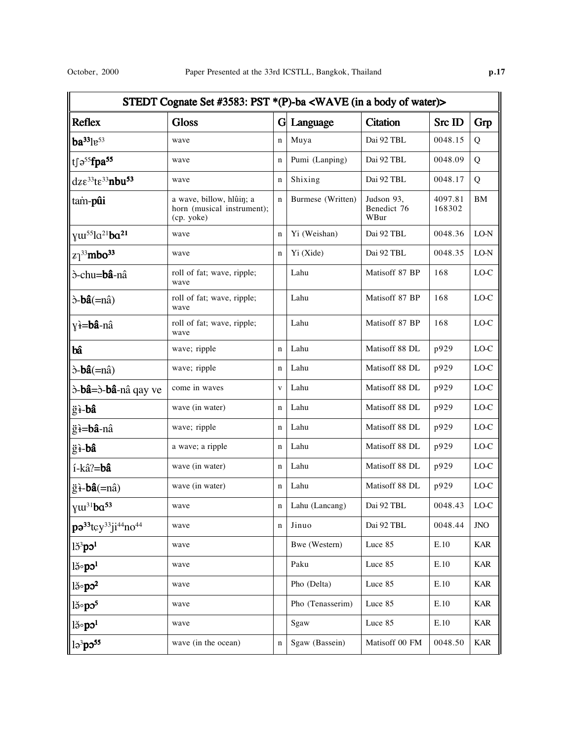|                                                                | STEDT Cognate Set #3583: PST *(P)-ba <wave (in="" a="" body="" of="" water)=""></wave> |              |                   |                                   |                   |               |
|----------------------------------------------------------------|----------------------------------------------------------------------------------------|--------------|-------------------|-----------------------------------|-------------------|---------------|
| <b>Reflex</b>                                                  | <b>Gloss</b>                                                                           | G            | Language          | <b>Citation</b>                   | Src ID            | Grp           |
| $ba^{33}$ $1e^{53}$                                            | wave                                                                                   | $\mathbf n$  | Muya              | Dai 92 TBL                        | 0048.15           | Q             |
| tf $\mathfrak{so}^{\text{55}}$ fpa <sup>55</sup>               | wave                                                                                   | $\mathbf n$  | Pumi (Lanping)    | Dai 92 TBL                        | 0048.09           | Q             |
| $dz\varepsilon^{33}t\varepsilon^{33}nbu^{53}$                  | wave                                                                                   | $\mathbf n$  | Shixing           | Dai 92 TBL                        | 0048.17           | Q             |
| tam-pûi                                                        | a wave, billow, hlûin; a<br>horn (musical instrument);<br>(cp. yoke)                   | $\mathbf n$  | Burmese (Written) | Judson 93.<br>Benedict 76<br>WBur | 4097.81<br>168302 | $\mathbf{BM}$ |
| yw <sup>55</sup> la <sup>21</sup> ba <sup>21</sup>             | wave                                                                                   | $\mathbf n$  | Yi (Weishan)      | Dai 92 TBL                        | 0048.36           | $LO-N$        |
| $z_1^{33}$ mbo <sup>33</sup>                                   | wave                                                                                   | $\mathbf n$  | Yi (Xide)         | Dai 92 TBL                        | 0048.35           | $LO-N$        |
| ò-chu=bâ-nâ                                                    | roll of fat; wave, ripple;<br>wave                                                     |              | Lahu              | Matisoff 87 BP                    | 168               | $_{\rm LO-C}$ |
| $\delta$ - <b>bâ</b> $(=n\hat{a})$                             | roll of fat; wave, ripple;<br>wave                                                     |              | Lahu              | Matisoff 87 BP                    | 168               | $_{\rm LO-C}$ |
| y <del>ì</del> = <b>bâ</b> -nâ                                 | roll of fat; wave, ripple;<br>wave                                                     |              | Lahu              | Matisoff 87 BP                    | 168               | $_{\rm LO-C}$ |
| bâ                                                             | wave; ripple                                                                           | $\mathbf n$  | Lahu              | Matisoff 88 DL                    | p929              | $_{\rm LO-C}$ |
| $\delta$ - <b>bâ</b> $(=\hat{n})$                              | wave; ripple                                                                           | $\mathbf n$  | Lahu              | Matisoff 88 DL                    | p929              | $_{\rm LO-C}$ |
| ò- <b>bâ</b> =ò- <b>bâ</b> -nâ qay ve                          | come in waves                                                                          | $\mathbf{V}$ | Lahu              | Matisoff 88 DL                    | p929              | $_{\rm LO-C}$ |
| ğì-bâ                                                          | wave (in water)                                                                        | $\mathbf n$  | Lahu              | Matisoff 88 DL                    | p929              | $_{\rm LO-C}$ |
| ğ <del>i</del> =bâ-nâ                                          | wave; ripple                                                                           | $\mathbf n$  | Lahu              | Matisoff 88 DL                    | p929              | $_{\rm LO-C}$ |
| ğ <del>ì</del> -bâ                                             | a wave; a ripple                                                                       | $\mathbf n$  | Lahu              | Matisoff 88 DL                    | p929              | $_{\rm LO-C}$ |
| í-kâ?=bâ                                                       | wave (in water)                                                                        | $\mathbf n$  | Lahu              | Matisoff 88 DL                    | p929              | $_{\rm LO-C}$ |
| $\ddot{g}$ i-bâ(=nâ)                                           | wave (in water)                                                                        | $\mathbf n$  | Lahu              | Matisoff 88 DL                    | p929              | $_{\rm LO-C}$ |
| $\sqrt{\gamma}$ <sup>31</sup> ba <sup>53</sup>                 | wave                                                                                   | n            | Lahu (Lancang)    | Dai 92 TBL                        | 0048.43           | $_{\rm LO-C}$ |
| $ p9^{33}$ tcy <sup>33</sup> ji <sup>44</sup> no <sup>44</sup> | wave                                                                                   | $\mathbf n$  | Jinuo             | Dai 92 TBL                        | 0048.44           | $JNO$         |
| $l53$ po <sup>1</sup>                                          | wave                                                                                   |              | Bwe (Western)     | Luce 85                           | E.10              | <b>KAR</b>    |
| $ $ ါခိ∘ $\mathbf{p}$ ၁ $^1$                                   | wave                                                                                   |              | Paku              | Luce 85                           | E.10              | <b>KAR</b>    |
| $l\breve{\eth}^\circ p\sigma^2$                                | wave                                                                                   |              | Pho (Delta)       | Luce 85                           | E.10              | <b>KAR</b>    |
| $l\breve{\sigma}$ <sup>5</sup>                                 | wave                                                                                   |              | Pho (Tenasserim)  | Luce 85                           | E.10              | <b>KAR</b>    |
| $l$                                                            | wave                                                                                   |              | Sgaw              | Luce 85                           | E.10              | <b>KAR</b>    |
| lə <sup>3</sup> pə <sup>55</sup>                               | wave (in the ocean)                                                                    | $\mathbf n$  | Sgaw (Bassein)    | Matisoff 00 FM                    | 0048.50           | <b>KAR</b>    |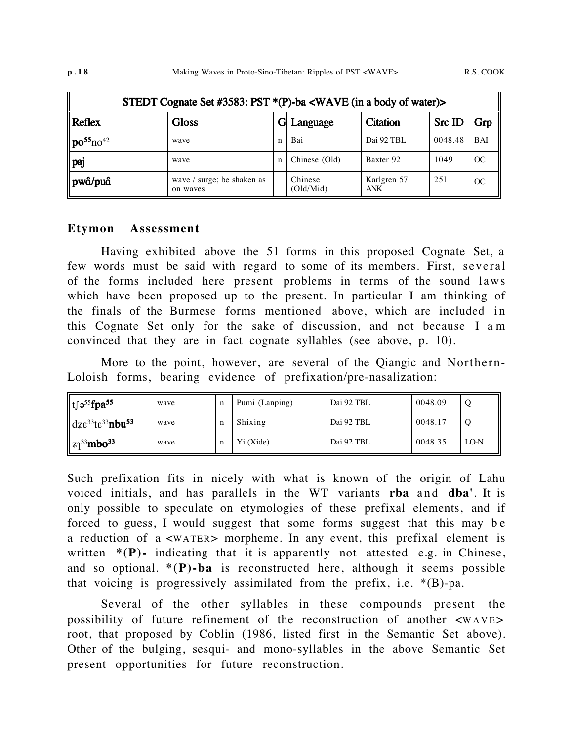|                                        | STEDT Cognate Set #3583: PST *(P)-ba <wave (in="" a="" body="" of="" water)=""></wave> |   |                      |                    |         |            |  |  |  |
|----------------------------------------|----------------------------------------------------------------------------------------|---|----------------------|--------------------|---------|------------|--|--|--|
| $\ $ Reflex                            | <b>Gloss</b>                                                                           |   | Language             | <b>Citation</b>    | Src ID  | Grp        |  |  |  |
| $\ $ po <sup>55</sup> no <sup>42</sup> | wave                                                                                   | n | Bai                  | Dai 92 TBL         | 0048.48 | <b>BAI</b> |  |  |  |
| $\ $ paj                               | wave                                                                                   | n | Chinese (Old)        | Baxter 92          | 1049    | OC         |  |  |  |
| ∥pwâ/puâ                               | wave / surge; be shaken as<br>on waves                                                 |   | Chinese<br>(Old/Mid) | Karlgren 57<br>ANK | 251     | OC         |  |  |  |

#### **Etymon Assessment**

Having exhibited above the 51 forms in this proposed Cognate Set, a few words must be said with regard to some of its members. First, several of the forms included here present problems in terms of the sound laws which have been proposed up to the present. In particular I am thinking of the finals of the Burmese forms mentioned above, which are included in this Cognate Set only for the sake of discussion, and not because I a m convinced that they are in fact cognate syllables (see above, p. 10).

More to the point, however, are several of the Qiangic and Northern-Loloish forms, bearing evidence of prefixation/pre-nasalization:

| $\ $ t∫ə <sup>55</sup> <b>fpa<sup>55</sup></b>                    | wave | n | Pumi (Lanping) | Dai 92 TBL | 0048.09 |        |
|-------------------------------------------------------------------|------|---|----------------|------------|---------|--------|
| $\ $ dz $\varepsilon^{33}$ t $\varepsilon^{33}$ nbu <sup>53</sup> | wave | n | Shixing        | Dai 92 TBL | 0048.17 |        |
| $\ z\ ^{33}$ mbo <sup>33</sup>                                    | wave | n | Yi (Xide)      | Dai 92 TBL | 0048.35 | $LO-N$ |

Such prefixation fits in nicely with what is known of the origin of Lahu voiced initials, and has parallels in the WT variants **rba** and **dba'**. It is only possible to speculate on etymologies of these prefixal elements, and if forced to guess, I would suggest that some forms suggest that this may b e a reduction of a <WATER> morpheme. In any event, this prefixal element is written \*(P)- indicating that it is apparently not attested e.g. in Chinese, and so optional.  $*(P)$ -ba is reconstructed here, although it seems possible that voicing is progressively assimilated from the prefix, i.e.  $*(B)$ -pa.

Several of the other syllables in these compounds present the possibility of future refinement of the reconstruction of another <WAVE > root, that proposed by Coblin (1986, listed first in the Semantic Set above). Other of the bulging, sesqui- and mono-syllables in the above Semantic Set present opportunities for future reconstruction.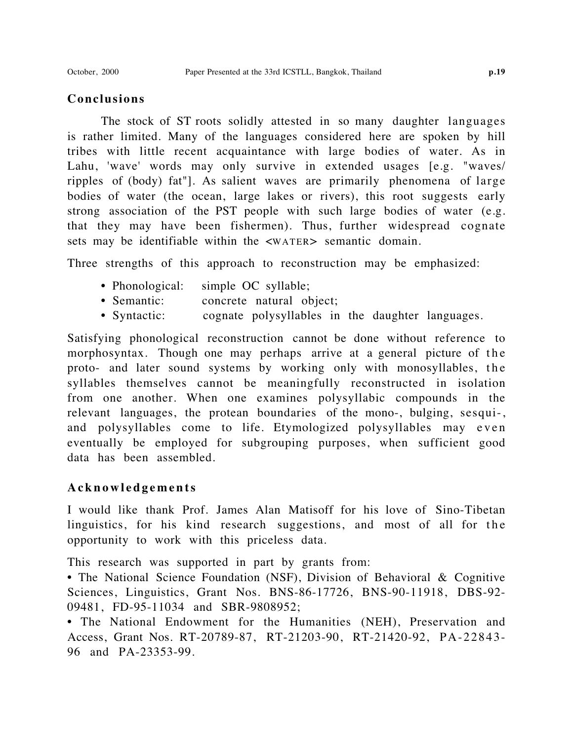# **Conclusions**

The stock of ST roots solidly attested in so many daughter languages is rather limited. Many of the languages considered here are spoken by hill tribes with little recent acquaintance with large bodies of water. As in Lahu, 'wave' words may only survive in extended usages [e.g. "waves/ ripples of (body) fat"]. As salient waves are primarily phenomena of large bodies of water (the ocean, large lakes or rivers), this root suggests early strong association of the PST people with such large bodies of water (e.g. that they may have been fishermen). Thus, further widespread cognate sets may be identifiable within the  $\langle WATER \rangle$  semantic domain.

Three strengths of this approach to reconstruction may be emphasized:

- Phonological: simple OC syllable;
- Semantic: concrete natural object;
- Syntactic: cognate polysyllables in the daughter languages.

Satisfying phonological reconstruction cannot be done without reference to morphosyntax. Though one may perhaps arrive at a general picture of the proto- and later sound systems by working only with monosyllables, the syllables themselves cannot be meaningfully reconstructed in isolation from one another. When one examines polysyllabic compounds in the relevant languages, the protean boundaries of the mono-, bulging, sesqui-, and polysyllables come to life. Etymologized polysyllables may even eventually be employed for subgrouping purposes, when sufficient good data has been assembled.

# **Acknowledgements**

I would like thank Prof. James Alan Matisoff for his love of Sino-Tibetan linguistics, for his kind research suggestions, and most of all for the opportunity to work with this priceless data.

This research was supported in part by grants from:

• The National Science Foundation (NSF), Division of Behavioral & Cognitive Sciences, Linguistics, Grant Nos. BNS-86-17726, BNS-90-11918, DBS-92- 09481, FD-95-11034 and SBR-9808952;

• The National Endowment for the Humanities (NEH), Preservation and Access, Grant Nos. RT-20789-87, RT-21203-90, RT-21420-92, PA-22843- 96 and PA-23353-99.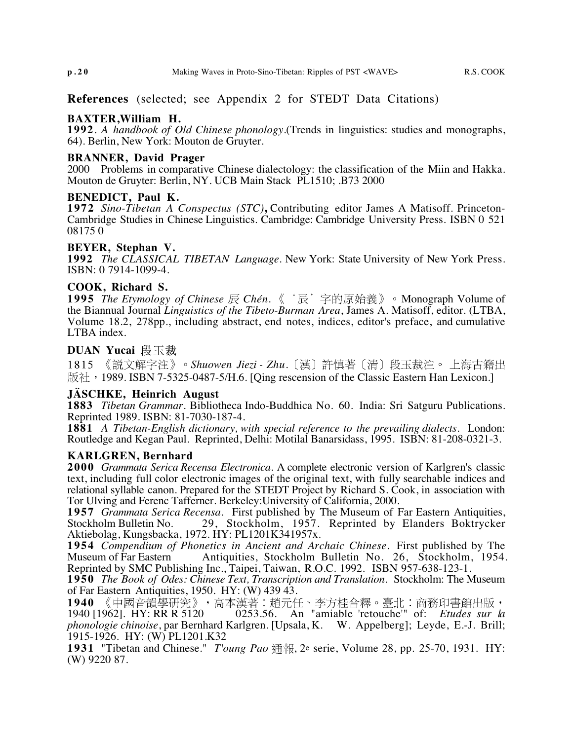**References** (selected; see Appendix 2 for STEDT Data Citations)

#### **BAXTER,William H.**

**1992**. *A handbook of Old Chinese phonology*.(Trends in linguistics: studies and monographs, 64). Berlin, New York: Mouton de Gruyter.

#### **BRANNER, David Prager**

2000 Problems in comparative Chinese dialectology: the classification of the Miin and Hakka. Mouton de Gruyter: Berlin, NY. UCB Main Stack PL1510; .B73 2000

#### **BENEDICT, Paul K.**

**1972** *Sino-Tibetan A Conspectus (STC)***,** Contributing editor James A Matisoff. Princeton-Cambridge Studies in Chinese Linguistics. Cambridge: Cambridge University Press. ISBN 0 521 08175 0

#### **BEYER, Stephan V.**

**1992** *The CLASSICAL TIBETAN Language.* New York: State University of New York Press. ISBN: 0 7914-1099-4.

#### **COOK, Richard S.**

**1995** *The Etymology of Chinese* 辰 *Chén.* 《'辰'字的原始義》。Monograph Volume of the Biannual Journal *Linguistics of the Tibeto-Burman Area*, James A. Matisoff, editor. (LTBA, Volume 18.2, 278pp., including abstract, end notes, indices, editor's preface, and cumulative LTBA index.

#### **DUAN Yucai** 段玉裁

1815 《説文解字注》。Shuowen Jiezi - Zhu.〔漢〕許慎著〔清〕段玉裁注。 上海古籍出 版社,1989. ISBN 7-5325-0487-5/H.6. [Oing rescension of the Classic Eastern Han Lexicon.]

#### **JÄSCHKE, Heinrich August**

**1883** *Tibetan Grammar.* Bibliotheca Indo-Buddhica No. 60. India: Sri Satguru Publications. Reprinted 1989. ISBN: 81-7030-187-4.

**1881** *A Tibetan-English dictionary, with special reference to the prevailing dialects.* London: Routledge and Kegan Paul. Reprinted, Delhi: Motilal Banarsidass, 1995. ISBN: 81-208-0321-3.

#### **KARLGREN, Bernhard**

**2000** *Grammata Serica Recensa Electronica.* A complete electronic version of Karlgren's classic text, including full color electronic images of the original text, with fully searchable indices and relational syllable canon. Prepared for the STEDT Project by Richard S. Cook, in association with Tor Ulving and Ferenc Tafferner. Berkeley:University of California, 2000.

**1957** *Grammata Serica Recensa*. First published by The Museum of Far Eastern Antiquities, Stockholm Bulletin No. 29, Stockholm, 1957. Reprinted by Elanders Boktrycker Aktiebolag, Kungsbacka, 1972. HY: PL1201K341957x.

**1954** *Compendium of Phonetics in Ancient and Archaic Chinese.* First published by The Museum of Far Eastern Antiquities, Stockholm Bulletin No. 26, Stockholm, 1954. Reprinted by SMC Publishing Inc., Taipei, Taiwan, R.O.C. 1992. ISBN 957-638-123-1.

**1950** *The Book of Odes: Chinese Text, Transcription and Translation*. Stockholm: The Museum of Far Eastern Antiquities, 1950. HY: (W) 439 43.

1940 《中國音韻學研究》,高本漢著:趙元任、李方桂合釋。臺北:商務印書館出版,<br>1940 [1962]. HY: RR R 5120 0253.56. An "amiable 'retouche'" of: *Etudes sur la* 

1940 [1962]. HY: RR R 5120 0253.56. An "amiable 'retouche'" of: *Etudes sur la phonologie chinoise*, par Bernhard Karlgren. [Upsala, K. W. Appelberg]; Leyde, E.-J. Brill; 1915-1926. HY: (W) PL1201.K32

**1931** "Tibetan and Chinese." *T'oung Pao* 通報, 2<sup>e</sup> serie, Volume 28, pp. 25-70, 1931. HY: (W) 9220 87.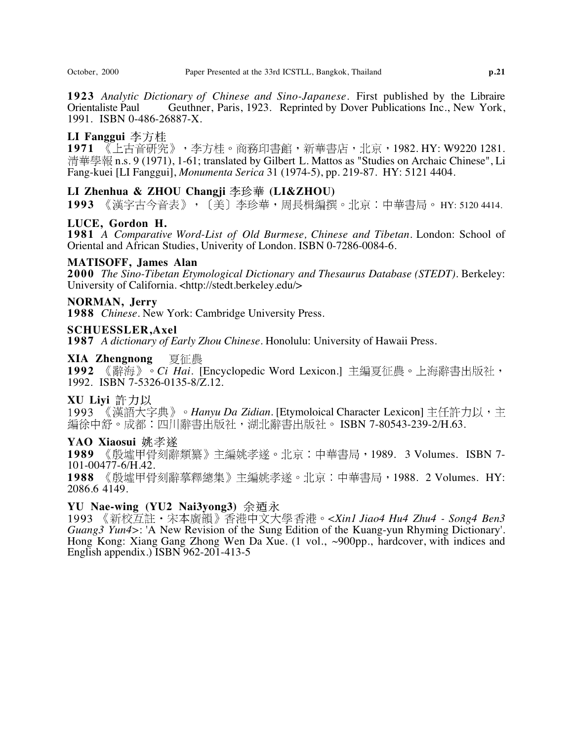**1923** *Analytic Dictionary of Chinese and Sino-Japanese.* First published by the Libraire Geuthner, Paris, 1923. Reprinted by Dover Publications Inc., New York, 1991. ISBN 0-486-26887-X.

### **LI Fanggui**

1971 《上古音研究》,李方桂。商務印書館,新華書店,北京,1982. HY: W9220 1281. 清華學報 n.s. 9 (1971), 1-61; translated by Gilbert L. Mattos as "Studies on Archaic Chinese", Li Fang-kuei [LI Fanggui], *Monumenta Serica* 31 (1974-5), pp. 219-87. HY: 5121 4404.

## LI Zhenhua & ZHOU Changji 李珍華 (LI&ZHOU)

1993 《漢字古今音表》, 〔美〕李珍華, 周長楫編撰。北京:中華書局。 HY: 5120 4414.

## **LUCE, Gordon H.**

**1981** *A Comparative Word-List of Old Burmese, Chinese and Tibetan*. London: School of Oriental and African Studies, Univerity of London. ISBN 0-7286-0084-6.

#### **MATISOFF, James Alan**

**2000** *The Sino-Tibetan Etymological Dictionary and Thesaurus Database (STEDT)*. Berkeley: University of California. <http://stedt.berkeley.edu/>

#### **NORMAN, Jerry**

**1988** *Chinese*. New York: Cambridge University Press.

#### **SCHUESSLER,Axel**

**1987** *A dictionary of Early Zhou Chinese.* Honolulu: University of Hawaii Press.

#### 夏征農 **XIA Zhengnong**

1992 《辭海》。Ci Hai. [Encyclopedic Word Lexicon.] 主編夏征農。上海辭書出版社, 1992. ISBN 7-5326-0135-8/Z.12.

#### **XU Liyi**

1993 《漢語大字典》。Hanyu Da Zidian. [Etymoloical Character Lexicon] 主任許力以,主 編徐中舒。成都:四川辭書出版社,湖北辭書出版社。 ISBN 7-80543-239-2/H.63.

#### **YAO Xiaosui**

1989 《殷墟甲骨刻辭類纂》主編姚孝遂。北京:中華書局,1989. 3 Volumes. ISBN 7-101-00477-6/H.42.

1988 《殷墟甲骨刻辭摹釋總集》主編姚孝遂。北京:中華書局,1988. 2 Volumes. HY: 2086.6 4149.

#### **YU Nae-wing (YU2 Nai3yong3)**

*<Xin1 Jiao4 Hu4 Zhu4 - Song4 Ben3 Guang3 Yun4>*: 'A New Revision of the Sung Edition of the Kuang-yun Rhyming Dictionary'. Hong Kong: Xiang Gang Zhong Wen Da Xue. (1 vol., ~900pp., hardcover, with indices and English appendix.) ISBN 962-201-413-5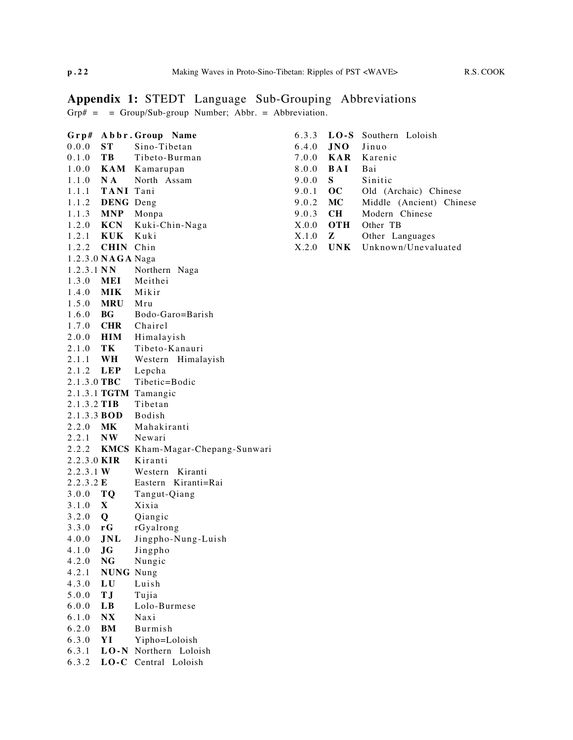# **Appendix 1:** STEDT Language Sub-Grouping Abbreviations

 $Grp# =$  =  $Group/Sub-group$  Number; Abbr. = Abbreviation.

| $G$ rp#         |                    | Abbr. Group Name                      |
|-----------------|--------------------|---------------------------------------|
| 0.0.0           | ST.                | Sino-Tibetan                          |
| 0.1.0           | TB 9               | Tibeto-Burman                         |
| 1.0.0           |                    | <b>KAM</b> Kamarupan                  |
| 1.1.0           | $N_{A}$            | North Assam                           |
| 1.1.1           | TANI Tani          |                                       |
|                 | 1.1.2 DENG Deng    |                                       |
|                 | 1.1.3 <b>MNP</b>   | Monpa                                 |
|                 | 1.2.0 <b>KCN</b>   | Kuki-Chin-Naga                        |
| 1.2.1           | KUK                | Kuki                                  |
|                 | 1.2.2 CHIN Chin    |                                       |
|                 | 1.2.3.0 NAGA Naga  |                                       |
| $1.2.3.1$ NN    |                    | Northern<br>Naga                      |
| 1.3.0           | <b>MEI</b>         | Meithei                               |
| 1.4.0           | <b>MIK</b>         | Mikir                                 |
|                 | 1.5.0 MRU Mru      |                                       |
| 1.6.0 <b>BG</b> |                    | Bodo-Garo=Barish                      |
|                 |                    | 1.7.0 CHR Chairel                     |
|                 | 2.0.0 <b>HIM</b>   | Himalayish                            |
| 2.1.0           | TK                 | Tibeto-Kanauri                        |
| 2.1.1           | $\mathbf{W}$ H     | Western<br>Himalayish                 |
|                 | 2.1.2 LEP          | Lepcha                                |
| 2.1.3.0 TBC     |                    | Tibetic=Bodic                         |
|                 |                    | 2.1.3.1 TGTM Tamangic                 |
| 2.1.3.2 TIB     |                    | Tibetan                               |
|                 | 2.1.3.3 <b>BOD</b> | <b>Bodish</b>                         |
| 2.2.0 MK        |                    | Mahakiranti                           |
|                 | 2.2.1 NW           | Newari                                |
|                 |                    | 2.2.2 KMCS Kham-Magar-Chepang-Sunwari |
|                 | 2.2.3.0 KIR        | Kiranti                               |
| 2.2.3.1 W       |                    | Western Kiranti                       |
| 2.2.3.2 E       |                    | Eastern Kiranti=Rai                   |
| 3.0.0 $TQ$      |                    | Tangut-Qiang                          |
| 3.1.0 X         |                    | Xixia                                 |
| 3.2.0 $Q$       |                    | Qiangic                               |
| $3.3.0 \t G$    |                    | rGyalrong                             |
| 4.0.0           | JNL                | Jingpho-Nung-Luish                    |
| 4.1.0           | JG                 | Jingpho                               |
| 4.2.0           | NG                 | Nungic                                |
| 4.2.1           | <b>NUNG</b> Nung   |                                       |
| 4.3.0           | LU                 | Luish                                 |
| 5.0.0           | ТJ                 | Tujia                                 |
| 6.0.0           | LВ                 | Lolo-Burmese                          |
| 6.1.0           | N X                | Naxi                                  |
| 6.2.0           | BМ                 | <b>Burmish</b>                        |
| 6.3.0           | YI                 | Yipho=Loloish                         |
| 6.3.1           | $LO-N$             | Northern<br>Loloish                   |
| 6.3.2           | $LO-C$             | Loloish<br>Central                    |

| 6.3.3 | $LO-S$            | Southern Loloish         |
|-------|-------------------|--------------------------|
|       | $6.4.0$ JNO Jinuo |                          |
|       |                   | 7.0.0 <b>KAR</b> Karenic |
| 8.0.0 | BAI               | Bai                      |
| 9.0.0 | S.                | Sinitic                  |
| 9.0.1 | OC -              | Old (Archaic) Chinese    |
| 9.0.2 | MC                | Middle (Ancient) Chinese |
| 9.0.3 | <b>CH</b>         | Modern Chinese           |
| X.0.0 | <b>OTH</b>        | Other TB                 |
| X.1.0 | z                 | Other Languages          |
| X.2.0 | UNK.              | Unknown/Unevaluated      |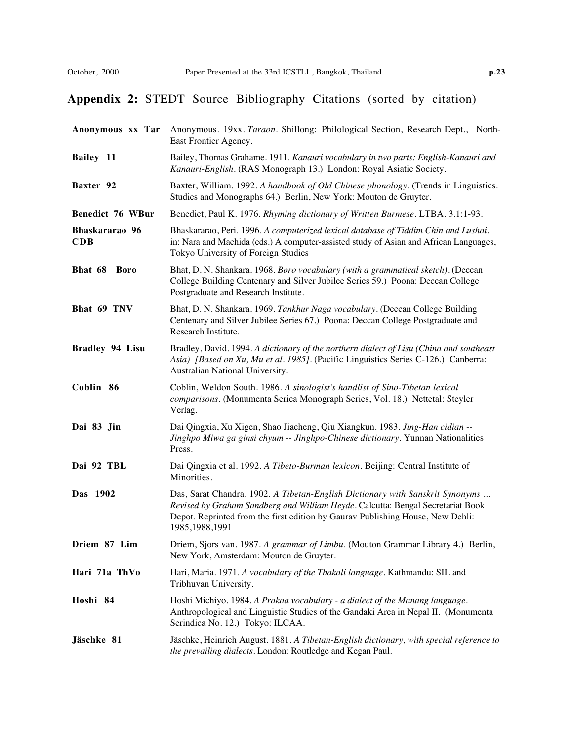# **Appendix 2:** STEDT Source Bibliography Citations (sorted by citation)

| Anonymous xx Tar             | Anonymous. 19xx. Taraon. Shillong: Philological Section, Research Dept., North-<br>East Frontier Agency.                                                                                                                                                               |
|------------------------------|------------------------------------------------------------------------------------------------------------------------------------------------------------------------------------------------------------------------------------------------------------------------|
| Bailey 11                    | Bailey, Thomas Grahame. 1911. Kanauri vocabulary in two parts: English-Kanauri and<br>Kanauri-English. (RAS Monograph 13.) London: Royal Asiatic Society.                                                                                                              |
| Baxter 92                    | Baxter, William. 1992. A handbook of Old Chinese phonology. (Trends in Linguistics.<br>Studies and Monographs 64.) Berlin, New York: Mouton de Gruyter.                                                                                                                |
| Benedict 76 WBur             | Benedict, Paul K. 1976. Rhyming dictionary of Written Burmese. LTBA. 3.1:1-93.                                                                                                                                                                                         |
| Bhaskararao 96<br><b>CDB</b> | Bhaskararao, Peri. 1996. A computerized lexical database of Tiddim Chin and Lushai.<br>in: Nara and Machida (eds.) A computer-assisted study of Asian and African Languages,<br>Tokyo University of Foreign Studies                                                    |
| Bhat 68 Boro                 | Bhat, D. N. Shankara. 1968. Boro vocabulary (with a grammatical sketch). (Deccan<br>College Building Centenary and Silver Jubilee Series 59.) Poona: Deccan College<br>Postgraduate and Research Institute.                                                            |
| Bhat 69 TNV                  | Bhat, D. N. Shankara. 1969. Tankhur Naga vocabulary. (Deccan College Building<br>Centenary and Silver Jubilee Series 67.) Poona: Deccan College Postgraduate and<br>Research Institute.                                                                                |
| Bradley 94 Lisu              | Bradley, David. 1994. A dictionary of the northern dialect of Lisu (China and southeast<br>Asia) [Based on Xu, Mu et al. 1985]. (Pacific Linguistics Series C-126.) Canberra:<br>Australian National University.                                                       |
| Coblin 86                    | Coblin, Weldon South. 1986. A sinologist's handlist of Sino-Tibetan lexical<br>comparisons. (Monumenta Serica Monograph Series, Vol. 18.) Nettetal: Steyler<br>Verlag.                                                                                                 |
| Dai 83 Jin                   | Dai Qingxia, Xu Xigen, Shao Jiacheng, Qiu Xiangkun. 1983. Jing-Han cidian --<br>Jinghpo Miwa ga ginsi chyum -- Jinghpo-Chinese dictionary. Yunnan Nationalities<br>Press.                                                                                              |
| Dai 92 TBL                   | Dai Qingxia et al. 1992. A Tibeto-Burman lexicon. Beijing: Central Institute of<br>Minorities.                                                                                                                                                                         |
| Das 1902                     | Das, Sarat Chandra. 1902. A Tibetan-English Dictionary with Sanskrit Synonyms<br>Revised by Graham Sandberg and William Heyde. Calcutta: Bengal Secretariat Book<br>Depot. Reprinted from the first edition by Gaurav Publishing House, New Dehli:<br>1985, 1988, 1991 |
| Driem 87 Lim                 | Driem, Sjors van. 1987. A grammar of Limbu. (Mouton Grammar Library 4.) Berlin,<br>New York, Amsterdam: Mouton de Gruyter.                                                                                                                                             |
| Hari 71a ThVo                | Hari, Maria. 1971. A vocabulary of the Thakali language. Kathmandu: SIL and<br>Tribhuvan University.                                                                                                                                                                   |
| Hoshi 84                     | Hoshi Michiyo. 1984. A Prakaa vocabulary - a dialect of the Manang language.<br>Anthropological and Linguistic Studies of the Gandaki Area in Nepal II. (Monumenta<br>Serindica No. 12.) Tokyo: ILCAA.                                                                 |
| Jäschke 81                   | Jäschke, Heinrich August. 1881. A Tibetan-English dictionary, with special reference to<br>the prevailing dialects. London: Routledge and Kegan Paul.                                                                                                                  |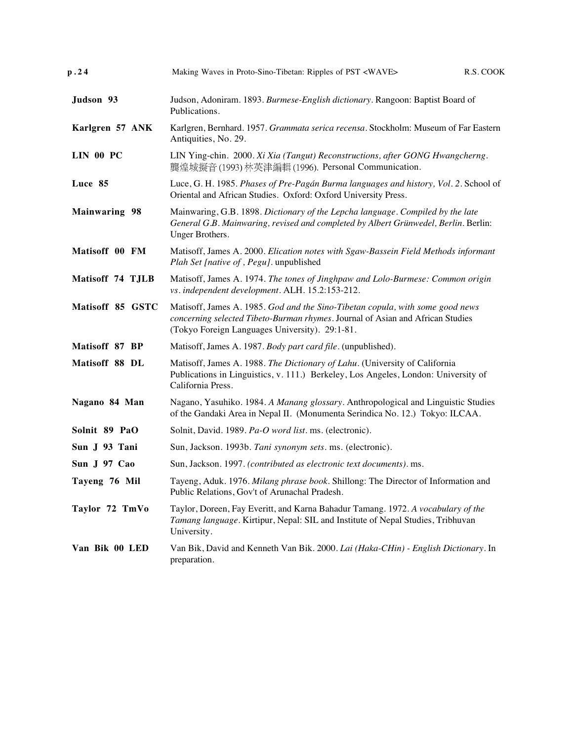| p.24                 | Making Waves in Proto-Sino-Tibetan: Ripples of PST <wave><br/>R.S. COOK</wave>                                                                                                                                    |
|----------------------|-------------------------------------------------------------------------------------------------------------------------------------------------------------------------------------------------------------------|
| Judson 93            | Judson, Adoniram. 1893. Burmese-English dictionary. Rangoon: Baptist Board of<br>Publications.                                                                                                                    |
| Karlgren 57 ANK      | Karlgren, Bernhard. 1957. Grammata serica recensa. Stockholm: Museum of Far Eastern<br>Antiquities, No. 29.                                                                                                       |
| <b>LIN 00 PC</b>     | LIN Ying-chin. 2000. Xi Xia (Tangut) Reconstructions, after GONG Hwangcherng.<br>襲煌城擬音(1993) 林英津編輯(1996). Personal Communication.                                                                                 |
| Luce 85              | Luce, G. H. 1985. Phases of Pre-Pagán Burma languages and history, Vol. 2. School of<br>Oriental and African Studies. Oxford: Oxford University Press.                                                            |
| <b>Mainwaring 98</b> | Mainwaring, G.B. 1898. Dictionary of the Lepcha language. Compiled by the late<br>General G.B. Mainwaring, revised and completed by Albert Grünwedel, Berlin. Berlin:<br>Unger Brothers.                          |
| Matisoff 00 FM       | Matisoff, James A. 2000. Elication notes with Sgaw-Bassein Field Methods informant<br>Plah Set [native of, Pegu]. unpublished                                                                                     |
| Matisoff 74 TJLB     | Matisoff, James A. 1974. The tones of Jinghpaw and Lolo-Burmese: Common origin<br>vs. independent development. ALH. 15.2:153-212.                                                                                 |
| Matisoff 85 GSTC     | Matisoff, James A. 1985. God and the Sino-Tibetan copula, with some good news<br>concerning selected Tibeto-Burman rhymes. Journal of Asian and African Studies<br>(Tokyo Foreign Languages University). 29:1-81. |
| Matisoff 87 BP       | Matisoff, James A. 1987. Body part card file. (unpublished).                                                                                                                                                      |
| Matisoff 88 DL       | Matisoff, James A. 1988. The Dictionary of Lahu. (University of California<br>Publications in Linguistics, v. 111.) Berkeley, Los Angeles, London: University of<br>California Press.                             |
| Nagano 84 Man        | Nagano, Yasuhiko. 1984. A Manang glossary. Anthropological and Linguistic Studies<br>of the Gandaki Area in Nepal II. (Monumenta Serindica No. 12.) Tokyo: ILCAA.                                                 |
| Solnit 89 PaO        | Solnit, David. 1989. Pa-O word list. ms. (electronic).                                                                                                                                                            |
| Sun J 93 Tani        | Sun, Jackson. 1993b. Tani synonym sets. ms. (electronic).                                                                                                                                                         |
| Sun J 97 Cao         | Sun, Jackson. 1997. (contributed as electronic text documents). ms.                                                                                                                                               |
| Tayeng 76 Mil        | Tayeng, Aduk. 1976. Milang phrase book. Shillong: The Director of Information and<br>Public Relations, Gov't of Arunachal Pradesh.                                                                                |
| Taylor 72 TmVo       | Taylor, Doreen, Fay Everitt, and Karna Bahadur Tamang. 1972. A vocabulary of the<br>Tamang language. Kirtipur, Nepal: SIL and Institute of Nepal Studies, Tribhuvan<br>University.                                |
| Van Bik 00 LED       | Van Bik, David and Kenneth Van Bik. 2000. Lai (Haka-CHin) - English Dictionary. In<br>preparation.                                                                                                                |
|                      |                                                                                                                                                                                                                   |